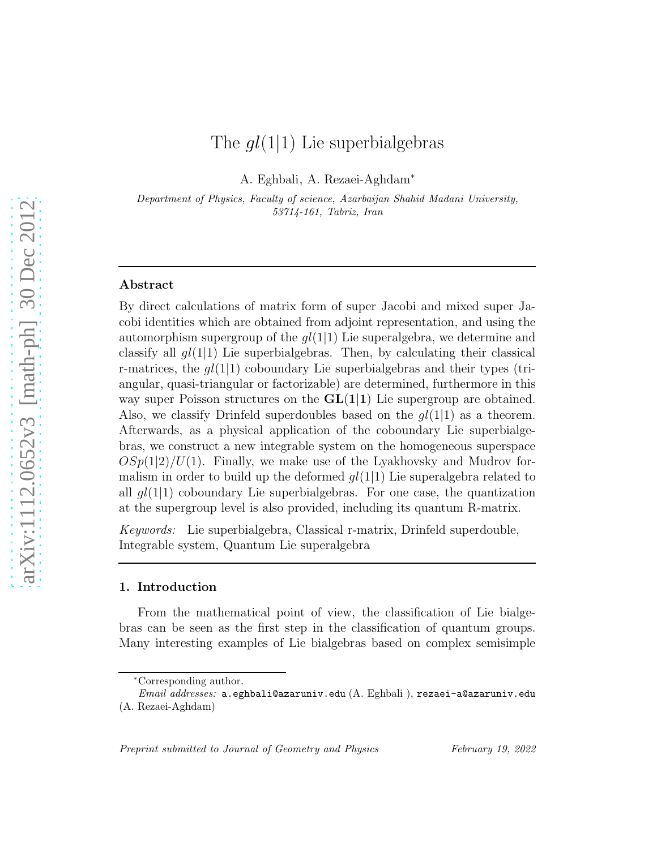# The  $ql(1|1)$  Lie superbialgebras

A. Eghbali, A. Rezaei-Aghdam<sup>∗</sup>

Department of Physics, Faculty of science, Azarbaijan Shahid Madani University, 53714-161, Tabriz, Iran

#### Abstract

By direct calculations of matrix form of super Jacobi and mixed super Jacobi identities which are obtained from adjoint representation, and using the automorphism supergroup of the  $gl(1|1)$  Lie superalgebra, we determine and classify all  $gl(1|1)$  Lie superbialgebras. Then, by calculating their classical r-matrices, the  $q(1|1)$  coboundary Lie superbialgebras and their types (triangular, quasi-triangular or factorizable) are determined, furthermore in this way super Poisson structures on the  $GL(1|1)$  Lie supergroup are obtained. Also, we classify Drinfeld superdoubles based on the  $ql(1|1)$  as a theorem. Afterwards, as a physical application of the coboundary Lie superbialgebras, we construct a new integrable system on the homogeneous superspace  $OSp(1|2)/U(1)$ . Finally, we make use of the Lyakhovsky and Mudrov formalism in order to build up the deformed  $gl(1|1)$  Lie superalgebra related to all  $gl(1|1)$  coboundary Lie superbialgebras. For one case, the quantization at the supergroup level is also provided, including its quantum R-matrix.

*Keywords:* Lie superbialgebra, Classical r-matrix, Drinfeld superdouble, Integrable system, Quantum Lie superalgebra

# 1. Introduction

From the mathematical point of view, the classification of Lie bialgebras can be seen as the first step in the classification of quantum groups. Many interesting examples of Lie bialgebras based on complex semisimple

<sup>∗</sup>Corresponding author.

Email addresses: a.eghbali@azaruniv.edu (A. Eghbali ), rezaei-a@azaruniv.edu (A. Rezaei-Aghdam)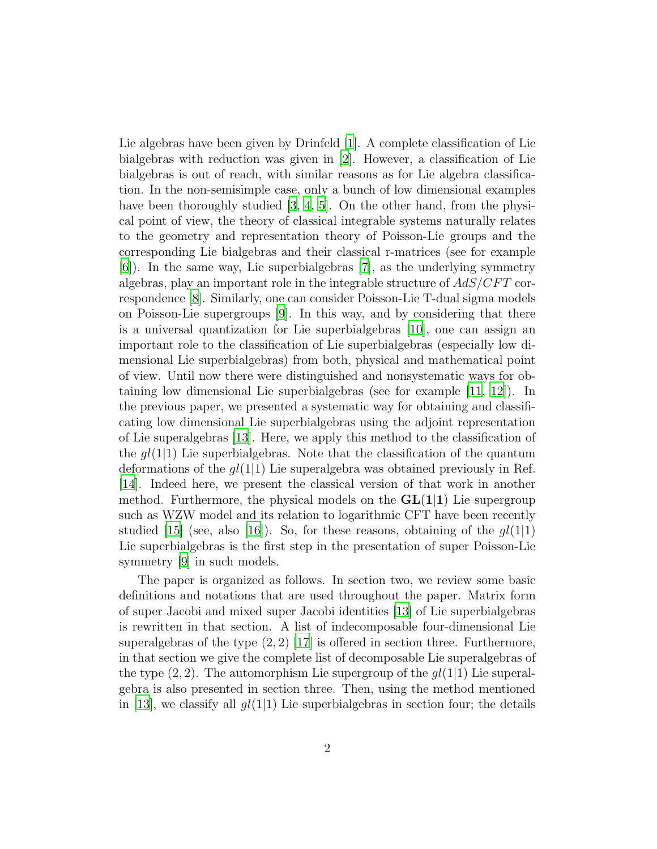Lie algebras have been given by Drinfeld [\[1\]](#page-32-0). A complete classification of Lie bialgebras with reduction was given in [\[2\]](#page-32-1). However, a classification of Lie bialgebras is out of reach, with similar reasons as for Lie algebra classification. In the non-semisimple case, only a bunch of low dimensional examples have been thoroughly studied  $[3, 4, 5]$  $[3, 4, 5]$  $[3, 4, 5]$  $[3, 4, 5]$ . On the other hand, from the physical point of view, the theory of classical integrable systems naturally relates to the geometry and representation theory of Poisson-Lie groups and the corresponding Lie bialgebras and their classical r-matrices (see for example [\[6\]](#page-33-3)). In the same way, Lie superbialgebras [\[7](#page-33-4)], as the underlying symmetry algebras, play an important role in the integrable structure of  $AdS/CFT$  correspondence [\[8](#page-33-5)]. Similarly, one can consider Poisson-Lie T-dual sigma models on Poisson-Lie supergroups [\[9\]](#page-33-6). In this way, and by considering that there is a universal quantization for Lie superbialgebras [\[10\]](#page-33-7), one can assign an important role to the classification of Lie superbialgebras (especially low dimensional Lie superbialgebras) from both, physical and mathematical point of view. Until now there were distinguished and nonsystematic ways for obtaining low dimensional Lie superbialgebras (see for example [\[11](#page-33-8), [12](#page-33-9)]). In the previous paper, we presented a systematic way for obtaining and classificating low dimensional Lie superbialgebras using the adjoint representation of Lie superalgebras [\[13](#page-33-10)]. Here, we apply this method to the classification of the  $gl(1|1)$  Lie superbialgebras. Note that the classification of the quantum deformations of the  $gl(1|1)$  Lie superalgebra was obtained previously in Ref. [\[14\]](#page-33-11). Indeed here, we present the classical version of that work in another method. Furthermore, the physical models on the  $GL(1|1)$  Lie supergroup such as WZW model and its relation to logarithmic CFT have been recently studied [\[15\]](#page-34-0) (see, also [\[16\]](#page-34-1)). So, for these reasons, obtaining of the  $gl(1|1)$ Lie superbialgebras is the first step in the presentation of super Poisson-Lie symmetry [\[9\]](#page-33-6) in such models.

The paper is organized as follows. In section two, we review some basic definitions and notations that are used throughout the paper. Matrix form of super Jacobi and mixed super Jacobi identities [\[13](#page-33-10)] of Lie superbialgebras is rewritten in that section. A list of indecomposable four-dimensional Lie superalgebras of the type  $(2, 2)$  [\[17](#page-34-2)] is offered in section three. Furthermore, in that section we give the complete list of decomposable Lie superalgebras of the type  $(2, 2)$ . The automorphism Lie supergroup of the  $ql(1|1)$  Lie superalgebra is also presented in section three. Then, using the method mentioned in [\[13\]](#page-33-10), we classify all  $gl(1|1)$  Lie superbialgebras in section four; the details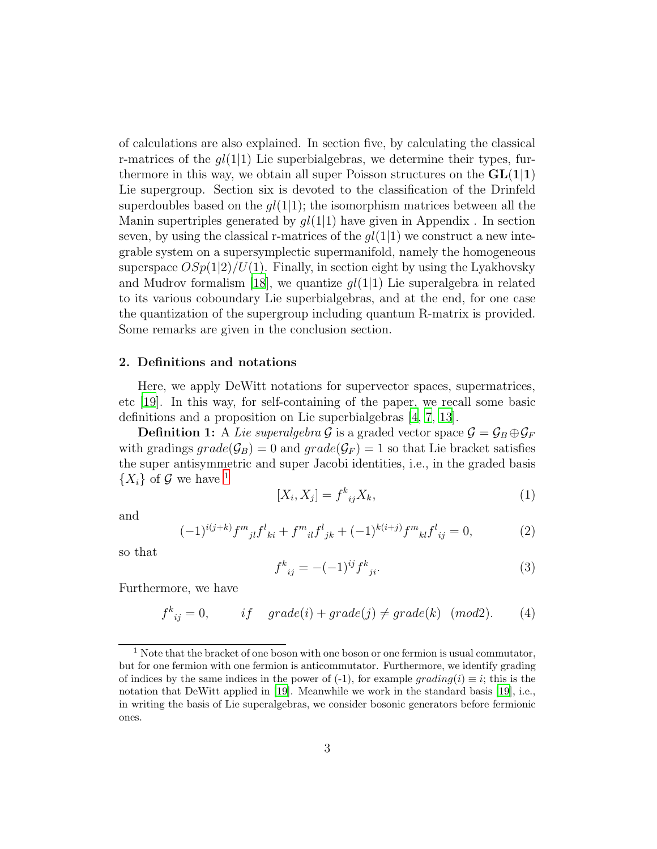of calculations are also explained. In section five, by calculating the classical r-matrices of the  $gl(1|1)$  Lie superbialgebras, we determine their types, furthermore in this way, we obtain all super Poisson structures on the  $GL(1|1)$ Lie supergroup. Section six is devoted to the classification of the Drinfeld superdoubles based on the  $gl(1|1)$ ; the isomorphism matrices between all the Manin supertriples generated by  $gl(1|1)$  have given in Appendix . In section seven, by using the classical r-matrices of the  $gl(1|1)$  we construct a new integrable system on a supersymplectic supermanifold, namely the homogeneous superspace  $OSp(1|2)/U(1)$ . Finally, in section eight by using the Lyakhovsky and Mudrov formalism [\[18\]](#page-34-3), we quantize  $gl(1|1)$  Lie superalgebra in related to its various coboundary Lie superbialgebras, and at the end, for one case the quantization of the supergroup including quantum R-matrix is provided. Some remarks are given in the conclusion section.

## 2. Definitions and notations

Here, we apply DeWitt notations for supervector spaces, supermatrices, etc [\[19](#page-34-4)]. In this way, for self-containing of the paper, we recall some basic definitions and a proposition on Lie superbialgebras [\[4,](#page-33-1) [7,](#page-33-4) [13\]](#page-33-10).

**Definition 1:** A *Lie superalgebra*  $\mathcal{G}$  is a graded vector space  $\mathcal{G} = \mathcal{G}_B \oplus \mathcal{G}_F$ with gradings  $grade(G_B) = 0$  and  $grade(G_F) = 1$  so that Lie bracket satisfies the super antisymmetric and super Jacobi identities, i.e., in the graded basis  $\{X_i\}$  of  $\mathcal G$  we have <sup>[1](#page-2-0)</sup>

$$
[X_i, X_j] = f^k{}_{ij} X_k,\tag{1}
$$

and

<span id="page-2-1"></span>
$$
(-1)^{i(j+k)} f^{m}{}_{jl} f^{l}{}_{ki} + f^{m}{}_{il} f^{l}{}_{jk} + (-1)^{k(i+j)} f^{m}{}_{kl} f^{l}{}_{ij} = 0, \qquad (2)
$$

so that

$$
f^k{}_{ij} = -(-1)^{ij} f^k{}_{ji}.
$$
\n(3)

Furthermore, we have

$$
f^{k}_{ij} = 0, \t\t if \tgrade(i) + grade(j) \neq grade(k) \t(mod 2). \t(4)
$$

<span id="page-2-0"></span><sup>&</sup>lt;sup>1</sup> Note that the bracket of one boson with one boson or one fermion is usual commutator, but for one fermion with one fermion is anticommutator. Furthermore, we identify grading of indices by the same indices in the power of (-1), for example grading(i)  $\equiv i$ ; this is the notation that DeWitt applied in [\[19\]](#page-34-4). Meanwhile we work in the standard basis [\[19\]](#page-34-4), i.e., in writing the basis of Lie superalgebras, we consider bosonic generators before fermionic ones.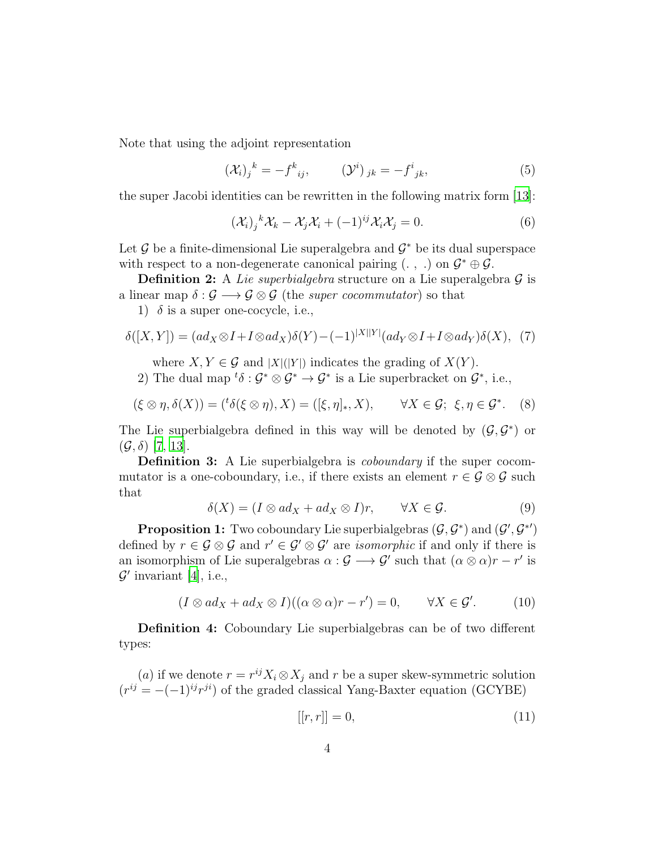Note that using the adjoint representation

$$
\left(\mathcal{X}_{i}\right)_{j}{}^{k}=-f^{k}_{ij},\qquad\left(\mathcal{Y}^{i}\right)_{jk}=-f^{i}_{jk},\tag{5}
$$

the super Jacobi identities can be rewritten in the following matrix form [\[13\]](#page-33-10):

<span id="page-3-2"></span>
$$
(\mathcal{X}_i)_j^k \mathcal{X}_k - \mathcal{X}_j \mathcal{X}_i + (-1)^{ij} \mathcal{X}_i \mathcal{X}_j = 0.
$$
 (6)

Let  $\mathcal G$  be a finite-dimensional Lie superalgebra and  $\mathcal G^*$  be its dual superspace with respect to a non-degenerate canonical pairing  $( . , .)$  on  $\mathcal{G}^* \oplus \mathcal{G}$ .

**Definition 2:** A *Lie superbialgebra* structure on a Lie superalgebra  $\mathcal{G}$  is a linear map  $\delta : \mathcal{G} \longrightarrow \mathcal{G} \otimes \mathcal{G}$  (the *super cocommutator*) so that

1)  $\delta$  is a super one-cocycle, i.e.,

<span id="page-3-1"></span>
$$
\delta([X,Y]) = (ad_X \otimes I + I \otimes ad_X)\delta(Y) - (-1)^{|X||Y|} (ad_Y \otimes I + I \otimes ad_Y)\delta(X), \tag{7}
$$

where  $X, Y \in \mathcal{G}$  and  $|X|(|Y|)$  indicates the grading of  $X(Y)$ .

2) The dual map  ${}^t\delta: \mathcal{G}^* \otimes \mathcal{G}^* \to \mathcal{G}^*$  is a Lie superbracket on  $\mathcal{G}^*$ , i.e.,

<span id="page-3-0"></span>
$$
(\xi \otimes \eta, \delta(X)) = ({}^t \delta(\xi \otimes \eta), X) = ([\xi, \eta]_*, X), \qquad \forall X \in \mathcal{G}; \ \xi, \eta \in \mathcal{G}^*.
$$
 (8)

The Lie superbialgebra defined in this way will be denoted by  $(\mathcal{G}, \mathcal{G}^*)$  or  $(\mathcal{G}, \delta)$  [\[7,](#page-33-4) [13\]](#page-33-10).

Definition 3: A Lie superbialgebra is *coboundary* if the super cocommutator is a one-coboundary, i.e., if there exists an element  $r \in \mathcal{G} \otimes \mathcal{G}$  such that

<span id="page-3-3"></span>
$$
\delta(X) = (I \otimes ad_X + ad_X \otimes I)r, \qquad \forall X \in \mathcal{G}.
$$
 (9)

**Proposition 1:** Two coboundary Lie superbialgebras  $(G, \mathcal{G}^*)$  and  $(\mathcal{G}', \mathcal{G}^{*\prime})$ defined by  $r \in \mathcal{G} \otimes \mathcal{G}$  and  $r' \in \mathcal{G}' \otimes \mathcal{G}'$  are *isomorphic* if and only if there is an isomorphism of Lie superalgebras  $\alpha : \mathcal{G} \longrightarrow \mathcal{G}'$  such that  $(\alpha \otimes \alpha)r - r'$  is  $\mathcal{G}'$  invariant [\[4\]](#page-33-1), i.e.,

$$
(I \otimes ad_X + ad_X \otimes I)((\alpha \otimes \alpha)r - r') = 0, \qquad \forall X \in \mathcal{G}'.
$$
 (10)

Definition 4: Coboundary Lie superbialgebras can be of two different types:

(a) if we denote  $r = r^{ij} X_i \otimes X_j$  and r be a super skew-symmetric solution  $(r^{ij} = -(-1)^{ij}r^{ji})$  of the graded classical Yang-Baxter equation (GCYBE)

$$
[[r, r]] = 0,\t\t(11)
$$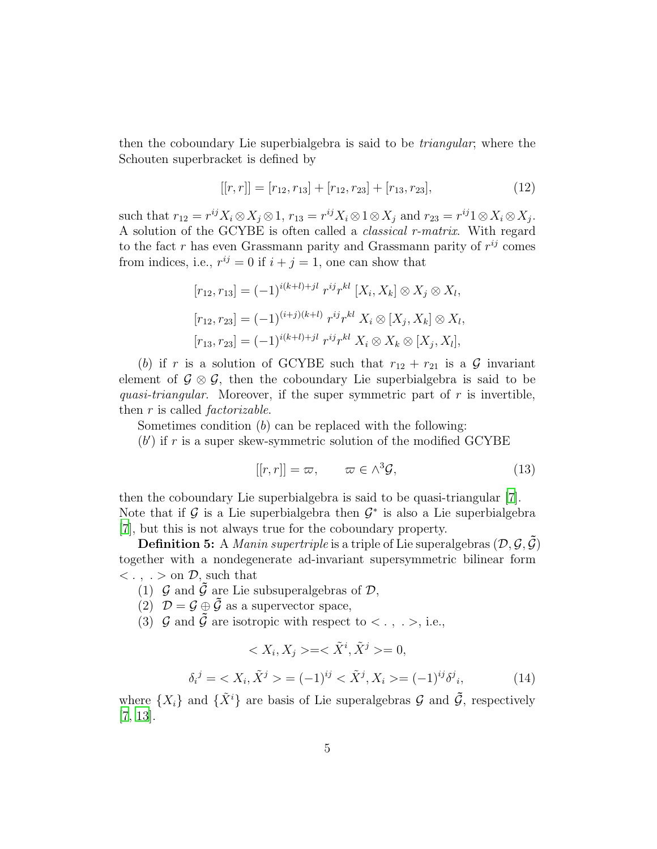then the coboundary Lie superbialgebra is said to be *triangular*; where the Schouten superbracket is defined by

$$
[[r,r]] = [r_{12}, r_{13}] + [r_{12}, r_{23}] + [r_{13}, r_{23}], \tag{12}
$$

such that  $r_{12} = r^{ij} X_i \otimes X_j \otimes 1$ ,  $r_{13} = r^{ij} X_i \otimes 1 \otimes X_j$  and  $r_{23} = r^{ij} 1 \otimes X_i \otimes X_j$ . A solution of the GCYBE is often called a *classical r-matrix*. With regard to the fact r has even Grassmann parity and Grassmann parity of  $r^{ij}$  comes from indices, i.e.,  $r^{ij} = 0$  if  $i + j = 1$ , one can show that

$$
[r_{12}, r_{13}] = (-1)^{i(k+l)+jl} r^{ij} r^{kl} [X_i, X_k] \otimes X_j \otimes X_l,
$$
  
\n
$$
[r_{12}, r_{23}] = (-1)^{(i+j)(k+l)} r^{ij} r^{kl} X_i \otimes [X_j, X_k] \otimes X_l,
$$
  
\n
$$
[r_{13}, r_{23}] = (-1)^{i(k+l)+jl} r^{ij} r^{kl} X_i \otimes X_k \otimes [X_j, X_l],
$$

(b) if r is a solution of GCYBE such that  $r_{12} + r_{21}$  is a G invariant element of  $\mathcal{G} \otimes \mathcal{G}$ , then the coboundary Lie superbialgebra is said to be *quasi-triangular*. Moreover, if the super symmetric part of r is invertible, then r is called *factorizable*.

Sometimes condition (b) can be replaced with the following:

 $(b')$  if r is a super skew-symmetric solution of the modified GCYBE

$$
[[r,r]] = \varpi, \qquad \varpi \in \wedge^3 \mathcal{G}, \tag{13}
$$

then the coboundary Lie superbialgebra is said to be quasi-triangular [\[7\]](#page-33-4). Note that if  $\mathcal G$  is a Lie superbialgebra then  $\mathcal G^*$  is also a Lie superbialgebra [\[7](#page-33-4)], but this is not always true for the coboundary property.

**Definition 5:** A *Manin supertriple* is a triple of Lie superalgebras  $(D, \mathcal{G}, \mathcal{G})$ together with a nondegenerate ad-invariant supersymmetric bilinear form  $\langle \cdot, \cdot \rangle$  on  $\mathcal{D}$ , such that

- (1)  $\mathcal G$  and  $\tilde{\mathcal G}$  are Lie subsuperalgebras of  $\mathcal D$ ,
- (2)  $\mathcal{D} = \mathcal{G} \oplus \tilde{\mathcal{G}}$  as a supervector space,
- (3)  $\mathcal G$  and  $\tilde{\mathcal G}$  are isotropic with respect to  $\langle \cdot, \cdot \rangle$ , i.e.,

<span id="page-4-0"></span>
$$
\langle X_i, X_j \rangle = \langle \tilde{X}^i, \tilde{X}^j \rangle = 0,
$$
  

$$
\delta_i^j = \langle X_i, \tilde{X}^j \rangle = (-1)^{ij} \langle \tilde{X}^j, X_i \rangle = (-1)^{ij} \delta^j_i,
$$
 (14)

where  $\{X_i\}$  and  $\{\tilde{X}^i\}$  are basis of Lie superalgebras G and  $\tilde{\mathcal{G}}$ , respectively [\[7](#page-33-4), [13\]](#page-33-10).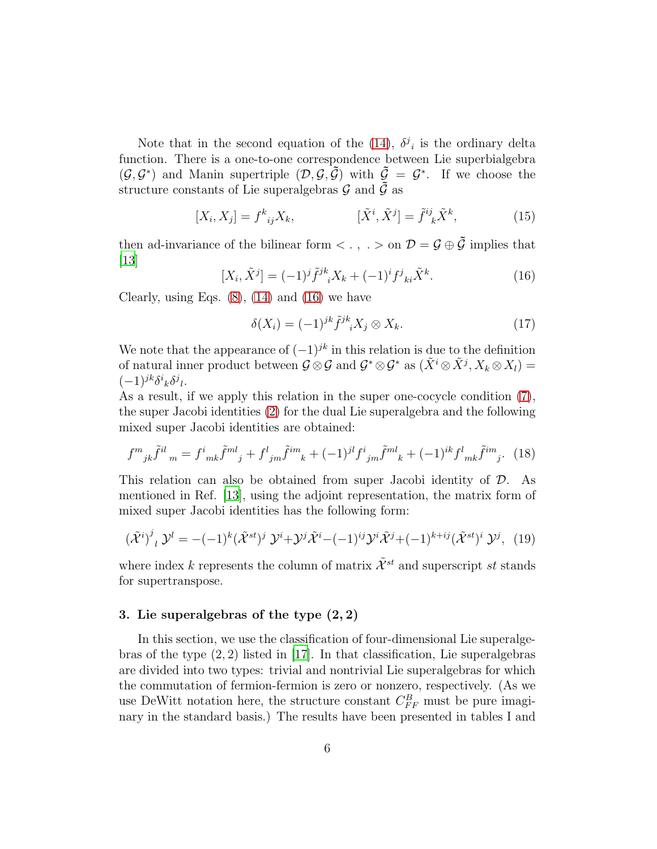Note that in the second equation of the [\(14\)](#page-4-0),  $\delta^j_i$  is the ordinary delta function. There is a one-to-one correspondence between Lie superbialgebra  $(\mathcal{G}, \mathcal{G}^*)$  and Manin supertriple  $(\mathcal{D}, \mathcal{G}, \tilde{\mathcal{G}})$  with  $\tilde{\mathcal{G}} = \mathcal{G}^*$ . If we choose the structure constants of Lie superalgebras  $\mathcal G$  and  $\tilde{\mathcal G}$  as

<span id="page-5-2"></span>
$$
[X_i, X_j] = f^k{}_{ij} X_k, \qquad [\tilde{X}^i, \tilde{X}^j] = \tilde{f}^{ij}{}_{k} \tilde{X}^k, \tag{15}
$$

then ad-invariance of the bilinear form  $\langle \cdot, \cdot \rangle$  on  $\mathcal{D} = \mathcal{G} \oplus \tilde{\mathcal{G}}$  implies that  $|13|$ 

<span id="page-5-0"></span>
$$
[X_i, \tilde{X}^j] = (-1)^j \tilde{f}^{jk}_{\phantom{jk}i} X_k + (-1)^i f^j_{\phantom{j}ki} \tilde{X}^k. \tag{16}
$$

Clearly, using Eqs.  $(8)$ ,  $(14)$  and  $(16)$  we have

<span id="page-5-3"></span>
$$
\delta(X_i) = (-1)^{jk} \tilde{f}^{jk}{}_i X_j \otimes X_k. \tag{17}
$$

We note that the appearance of  $(-1)^{jk}$  in this relation is due to the definition of natural inner product between  $\mathcal{G} \otimes \mathcal{G}$  and  $\mathcal{G}^* \otimes \mathcal{G}^*$  as  $(\tilde{X}^i \otimes \tilde{X}^j, X_k \otimes X_l) =$  $(-1)^{jk}\delta^i{}_k\delta^j{}_l.$ 

As a result, if we apply this relation in the super one-cocycle condition [\(7\)](#page-3-1), the super Jacobi identities [\(2\)](#page-2-1) for the dual Lie superalgebra and the following mixed super Jacobi identities are obtained:

$$
f^{m}_{jk}\tilde{f}^{il}_{m} = f^{i}_{mk}\tilde{f}^{ml}_{j} + f^{l}_{jm}\tilde{f}^{im}_{k} + (-1)^{jl}f^{i}_{jm}\tilde{f}^{ml}_{k} + (-1)^{ik}f^{l}_{mk}\tilde{f}^{im}_{j}. \tag{18}
$$

This relation can also be obtained from super Jacobi identity of D. As mentioned in Ref. [\[13\]](#page-33-10), using the adjoint representation, the matrix form of mixed super Jacobi identities has the following form:

<span id="page-5-1"></span>
$$
(\tilde{\mathcal{X}}^{i})^{j}{}_{l}\mathcal{Y}^{l} = -(-1)^{k}(\tilde{\mathcal{X}}^{st})^{j}\mathcal{Y}^{i} + \mathcal{Y}^{j}\tilde{\mathcal{X}}^{i} - (-1)^{ij}\mathcal{Y}^{i}\tilde{\mathcal{X}}^{j} + (-1)^{k+ij}(\tilde{\mathcal{X}}^{st})^{i}\mathcal{Y}^{j}, \tag{19}
$$

where index k represents the column of matrix  $\tilde{\mathcal{X}}^{st}$  and superscript st stands for supertranspose.

## 3. Lie superalgebras of the type (2, 2)

In this section, we use the classification of four-dimensional Lie superalgebras of the type  $(2, 2)$  listed in [\[17\]](#page-34-2). In that classification, Lie superalgebras are divided into two types: trivial and nontrivial Lie superalgebras for which the commutation of fermion-fermion is zero or nonzero, respectively. (As we use DeWitt notation here, the structure constant  $C_{FF}^B$  must be pure imaginary in the standard basis.) The results have been presented in tables I and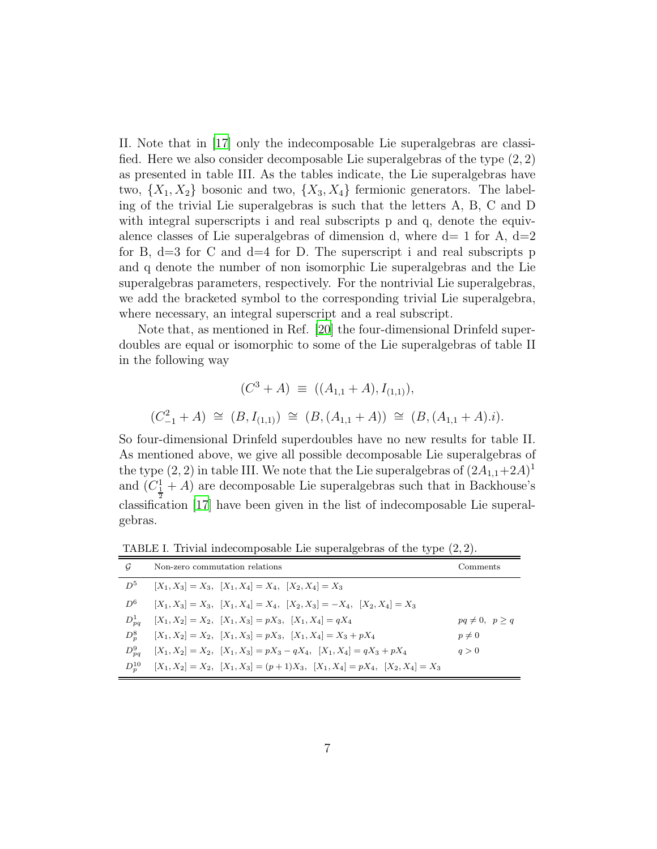II. Note that in [\[17\]](#page-34-2) only the indecomposable Lie superalgebras are classified. Here we also consider decomposable Lie superalgebras of the type  $(2, 2)$ as presented in table III. As the tables indicate, the Lie superalgebras have two,  $\{X_1, X_2\}$  bosonic and two,  $\{X_3, X_4\}$  fermionic generators. The labeling of the trivial Lie superalgebras is such that the letters A, B, C and D with integral superscripts i and real subscripts p and q, denote the equivalence classes of Lie superalgebras of dimension d, where  $d=1$  for A,  $d=2$ for B,  $d=3$  for C and  $d=4$  for D. The superscript i and real subscripts p and q denote the number of non isomorphic Lie superalgebras and the Lie superalgebras parameters, respectively. For the nontrivial Lie superalgebras, we add the bracketed symbol to the corresponding trivial Lie superalgebra, where necessary, an integral superscript and a real subscript.

Note that, as mentioned in Ref. [\[20](#page-34-5)] the four-dimensional Drinfeld superdoubles are equal or isomorphic to some of the Lie superalgebras of table II in the following way

$$
(C^3 + A) \equiv ((A_{1,1} + A), I_{(1,1)}),
$$
  

$$
(C_{-1}^2 + A) \approx (B, I_{(1,1)}) \approx (B, (A_{1,1} + A)) \approx (B, (A_{1,1} + A).i).
$$

So four-dimensional Drinfeld superdoubles have no new results for table II. As mentioned above, we give all possible decomposable Lie superalgebras of the type  $(2, 2)$  in table III. We note that the Lie superalgebras of  $(2A_{1,1}+2A)^{1}$ and  $(C_{\frac{1}{2}}^1 + A)$  are decomposable Lie superalgebras such that in Backhouse's classification [\[17](#page-34-2)] have been given in the list of indecomposable Lie superalgebras.

| G          | Non-zero commutation relations                                                          | Comments            |
|------------|-----------------------------------------------------------------------------------------|---------------------|
| $D^5$      | $[X_1, X_3] = X_3$ , $[X_1, X_4] = X_4$ , $[X_2, X_4] = X_3$                            |                     |
| $D^6$      | $[X_1, X_3] = X_3$ , $[X_1, X_4] = X_4$ , $[X_2, X_3] = -X_4$ , $[X_2, X_4] = X_3$      |                     |
| $D_{pq}^1$ | $[X_1, X_2] = X_2$ , $[X_1, X_3] = pX_3$ , $[X_1, X_4] = qX_4$                          | $pq\neq 0, p\geq q$ |
| $D_n^8$    | $[X_1, X_2] = X_2$ , $[X_1, X_3] = pX_3$ , $[X_1, X_4] = X_3 + pX_4$                    | $p\neq 0$           |
| $D_{pq}^9$ | $[X_1, X_2] = X_2$ , $[X_1, X_3] = pX_3 - qX_4$ , $[X_1, X_4] = qX_3 + pX_4$            | q>0                 |
| $D_n^{10}$ | $[X_1, X_2] = X_2$ , $[X_1, X_3] = (p+1)X_3$ , $[X_1, X_4] = pX_4$ , $[X_2, X_4] = X_3$ |                     |

TABLE I. Trivial indecomposable Lie superalgebras of the type (2, 2).

 $\overline{C}$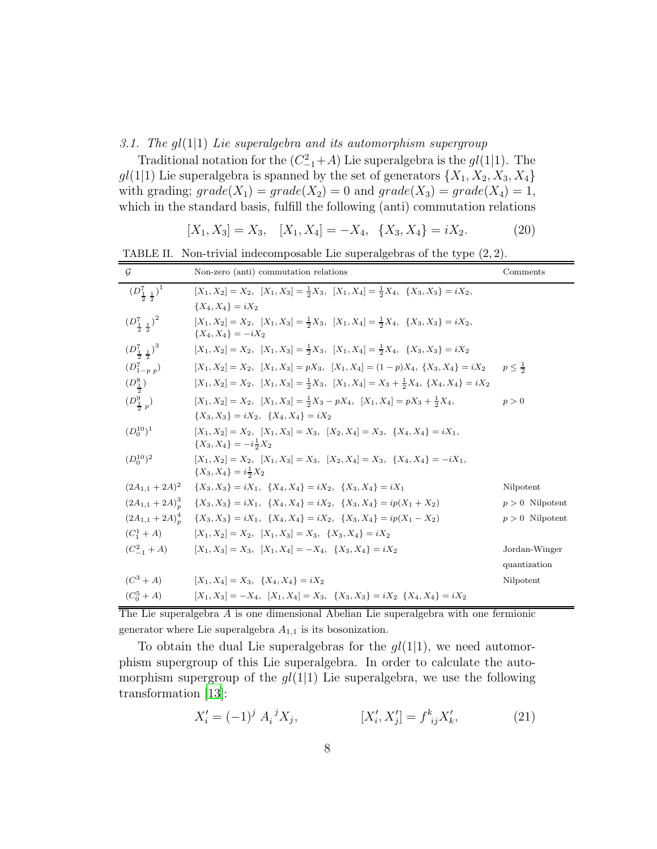#### *3.1. The* gl(1|1) *Lie superalgebra and its automorphism supergroup*

Traditional notation for the  $(C_{-1}^2+A)$  Lie superalgebra is the  $gl(1|1)$ . The  $gl(1|1)$  Lie superalgebra is spanned by the set of generators  $\{X_1, X_2, X_3, X_4\}$ with grading;  $grade(X_1) = grade(X_2) = 0$  and  $grade(X_3) = grade(X_4) = 1$ , which in the standard basis, fulfill the following (anti) commutation relations

<span id="page-7-0"></span>
$$
[X_1, X_3] = X_3, \quad [X_1, X_4] = -X_4, \quad \{X_3, X_4\} = iX_2. \tag{20}
$$

TABLE II. Non-trivial indecomposable Lie superalgebras of the type (2, 2).

| $\mathcal G$                            | Non-zero (anti) commutation relations                                                                                                | Comments          |
|-----------------------------------------|--------------------------------------------------------------------------------------------------------------------------------------|-------------------|
| $(D_{\frac{1}{2},\frac{1}{2}}^{7})^{1}$ | $[X_1, X_2] = X_2$ , $[X_1, X_3] = \frac{1}{2}X_3$ , $[X_1, X_4] = \frac{1}{2}X_4$ , $\{X_3, X_3\} = iX_2$ ,                         |                   |
|                                         | ${X_4, X_4} = iX_2$                                                                                                                  |                   |
| $(D_{\frac{1}{2},\frac{1}{2}}^7)^2$     | $[X_1, X_2] = X_2$ , $[X_1, X_3] = \frac{1}{2}X_3$ , $[X_1, X_4] = \frac{1}{2}X_4$ , $\{X_3, X_3\} = iX_2$ ,<br>${X_4, X_4} = -iX_2$ |                   |
| $(D_{\frac{1}{2},\frac{1}{2}}^{7})^{3}$ | $[X_1, X_2] = X_2$ , $[X_1, X_3] = \frac{1}{2}X_3$ , $[X_1, X_4] = \frac{1}{2}X_4$ , $\{X_3, X_3\} = iX_2$                           |                   |
| $(D_{1-p, p}^{7})$                      | $[X_1, X_2] = X_2$ , $[X_1, X_3] = pX_3$ , $[X_1, X_4] = (1-p)X_4$ , $\{X_3, X_4\} = iX_2$                                           | $p < \frac{1}{2}$ |
| $(D_{\frac{1}{5}}^8)$                   | $[X_1, X_2] = X_2$ , $[X_1, X_3] = \frac{1}{2}X_3$ , $[X_1, X_4] = X_3 + \frac{1}{2}X_4$ , $\{X_4, X_4\} = iX_2$                     |                   |
| $(D_{\frac{1}{2},p}^{9})$               | $[X_1, X_2] = X_2$ , $[X_1, X_3] = \frac{1}{2}X_3 - pX_4$ , $[X_1, X_4] = pX_3 + \frac{1}{2}X_4$ ,                                   | p > 0             |
|                                         | ${X_3, X_3} = iX_2, \{X_4, X_4\} = iX_2$                                                                                             |                   |
| $(D_0^{10})^1$                          | $[X_1, X_2] = X_2$ , $[X_1, X_3] = X_3$ , $[X_2, X_4] = X_3$ , $\{X_4, X_4\} = iX_1$ ,<br>$\{X_3, X_4\} = -i\frac{1}{2}X_2$          |                   |
| $(D_0^{10})^2$                          | $[X_1, X_2] = X_2$ , $[X_1, X_3] = X_3$ , $[X_2, X_4] = X_3$ , $\{X_4, X_4\} = -iX_1$ ,<br>$\{X_3, X_4\} = i\frac{1}{2}X_2$          |                   |
| $(2A_{1,1} + 2A)^2$                     | ${X_3, X_3} = iX_1, \{X_4, X_4\} = iX_2, \{X_3, X_4\} = iX_1$                                                                        | Nilpotent         |
| $(2A_{1,1}+2A)^3_p$                     | $\{X_3, X_3\} = iX_1, \{X_4, X_4\} = iX_2, \{X_3, X_4\} = ip(X_1 + X_2)$                                                             | $p > 0$ Nilpotent |
| $(2A_{1,1}+2A)^{4}_{n}$                 | ${X_3, X_3} = iX_1, \{X_4, X_4\} = iX_2, \{X_3, X_4\} = ip(X_1 - X_2)$                                                               | $p > 0$ Nilpotent |
| $(C_1^1 + A)$                           | $[X_1, X_2] = X_2$ , $[X_1, X_3] = X_3$ , $\{X_3, X_4\} = iX_2$                                                                      |                   |
|                                         | $(C_{-1}^2 + A)$ $[X_1, X_3] = X_3$ , $[X_1, X_4] = -X_4$ , $\{X_3, X_4\} = iX_2$                                                    | Jordan-Winger     |
|                                         |                                                                                                                                      | quantization      |
| $(C^3 + A)$                             | $[X_1, X_4] = X_3, \ \{X_4, X_4\} = iX_2$                                                                                            | Nilpotent         |
| $(C_0^5 + A)$                           | $[X_1, X_3] = -X_4$ , $[X_1, X_4] = X_3$ , $\{X_3, X_3\} = iX_2$ $\{X_4, X_4\} = iX_2$                                               |                   |

The Lie superalgebra A is one dimensional Abelian Lie superalgebra with one fermionic generator where Lie superalgebra  $A_{1,1}$  is its bosonization.

To obtain the dual Lie superalgebras for the  $gl(1|1)$ , we need automorphism supergroup of this Lie superalgebra. In order to calculate the automorphism supergroup of the  $gl(1|1)$  Lie superalgebra, we use the following transformation [\[13\]](#page-33-10):

$$
X'_{i} = (-1)^{j} A_{i} {^{j}X_{j}}, \qquad [X'_{i}, X'_{j}] = f^{k}_{ij} X'_{k}, \qquad (21)
$$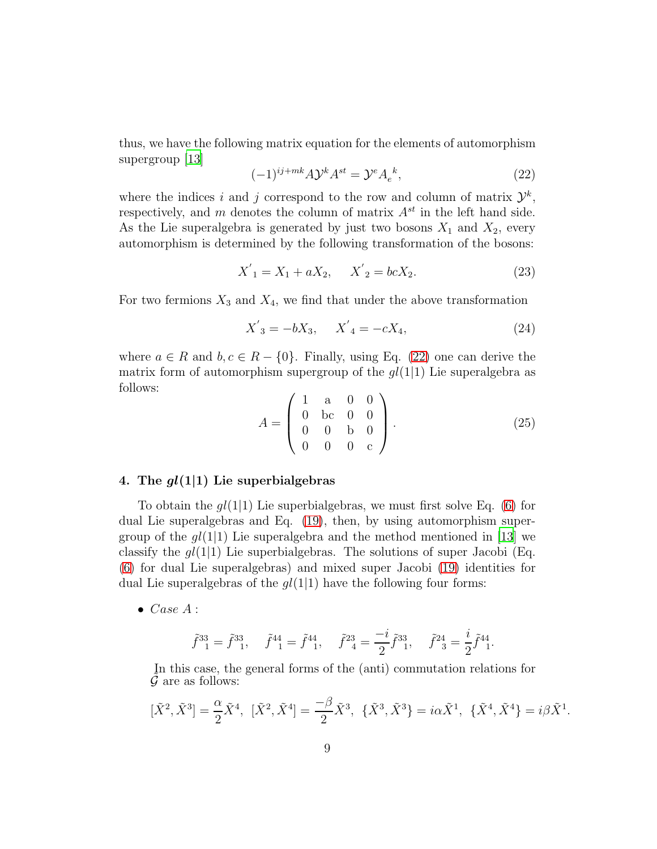thus, we have the following matrix equation for the elements of automorphism supergroup [\[13\]](#page-33-10)

<span id="page-8-0"></span>
$$
(-1)^{ij+mk} A \mathcal{Y}^k A^{st} = \mathcal{Y}^e A_e^k,
$$
\n<sup>(22)</sup>

where the indices i and j correspond to the row and column of matrix  $\mathcal{Y}^k$ , respectively, and m denotes the column of matrix  $A^{st}$  in the left hand side. As the Lie superalgebra is generated by just two bosons  $X_1$  and  $X_2$ , every automorphism is determined by the following transformation of the bosons:

$$
X'_{1} = X_{1} + aX_{2}, \quad X'_{2} = bcX_{2}.
$$
 (23)

For two fermions  $X_3$  and  $X_4$ , we find that under the above transformation

$$
X'_{3} = -bX_{3}, \quad X'_{4} = -cX_{4}, \tag{24}
$$

where  $a \in R$  and  $b, c \in R - \{0\}$ . Finally, using Eq. [\(22\)](#page-8-0) one can derive the matrix form of automorphism supergroup of the  $gl(1|1)$  Lie superalgebra as follows:

$$
A = \begin{pmatrix} 1 & a & 0 & 0 \\ 0 & bc & 0 & 0 \\ 0 & 0 & b & 0 \\ 0 & 0 & 0 & c \end{pmatrix}.
$$
 (25)

## 4. The  $gl(1|1)$  Lie superbialgebras

To obtain the  $gl(1|1)$  Lie superbialgebras, we must first solve Eq. [\(6\)](#page-3-2) for dual Lie superalgebras and Eq. [\(19\)](#page-5-1), then, by using automorphism supergroup of the  $gl(1|1)$  Lie superalgebra and the method mentioned in [\[13\]](#page-33-10) we classify the  $gl(1|1)$  Lie superbialgebras. The solutions of super Jacobi (Eq. [\(6\)](#page-3-2) for dual Lie superalgebras) and mixed super Jacobi [\(19\)](#page-5-1) identities for dual Lie superalgebras of the  $gl(1|1)$  have the following four forms:

 $\bullet \text{ Case } A:$ 

$$
\tilde{f}^{33}_{1} = \tilde{f}^{33}_{1}, \quad \tilde{f}^{44}_{1} = \tilde{f}^{44}_{1}, \quad \tilde{f}^{23}_{4} = \frac{-i}{2} \tilde{f}^{33}_{1}, \quad \tilde{f}^{24}_{3} = \frac{i}{2} \tilde{f}^{44}_{1}.
$$

In this case, the general forms of the (anti) commutation relations for  $\mathcal G$  are as follows:

$$
[\tilde{X}^2, \tilde{X}^3] = \frac{\alpha}{2} \tilde{X}^4, \; [\tilde{X}^2, \tilde{X}^4] = \frac{-\beta}{2} \tilde{X}^3, \; \{\tilde{X}^3, \tilde{X}^3\} = i\alpha \tilde{X}^1, \; \{\tilde{X}^4, \tilde{X}^4\} = i\beta \tilde{X}^1.
$$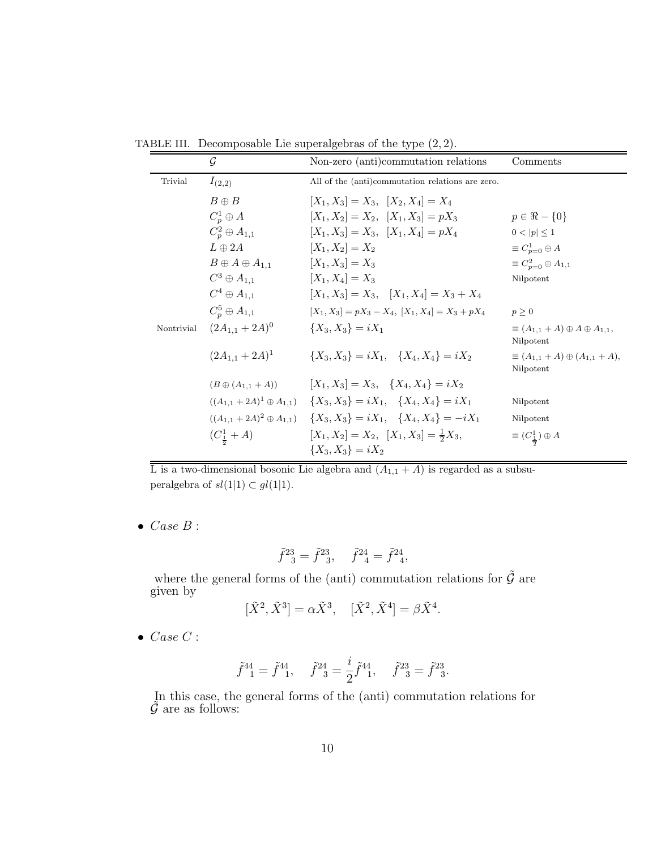TABLE III. Decomposable Lie superalgebras of the type (2, 2).

|            | $\mathcal G$                | Non-zero (anti)commutation relations                                                      | Comments                                                     |
|------------|-----------------------------|-------------------------------------------------------------------------------------------|--------------------------------------------------------------|
| Trivial    | $I_{(2,2)}$                 | All of the (anti)commutation relations are zero.                                          |                                                              |
|            | $B \oplus B$                | $[X_1, X_3] = X_3, \ \ [X_2, X_4] = X_4$                                                  |                                                              |
|            | $C_n^1 \oplus A$            | $[X_1, X_2] = X_2, \ \ [X_1, X_3] = pX_3$                                                 | $p \in \Re - \{0\}$                                          |
|            | $C_n^2 \oplus A_{1,1}$      | $[X_1, X_3] = X_3, \ \ [X_1, X_4] = pX_4$                                                 | $0 <  p  \leq 1$                                             |
|            | $L \oplus 2A$               | $[X_1, X_2] = X_2$                                                                        | $\equiv C_{n=0}^1 \oplus A$                                  |
|            | $B \oplus A \oplus A_{1,1}$ | $[X_1, X_3] = X_3$                                                                        | $\equiv C_{n=0}^2 \oplus A_{1,1}$                            |
|            | $C^3 \oplus A_{1,1}$        | $[X_1, X_4] = X_3$                                                                        | Nilpotent                                                    |
|            | $C^4\oplus A_{1,1}$         | $[X_1, X_3] = X_3, \quad [X_1, X_4] = X_3 + X_4$                                          |                                                              |
|            | $C_n^5\oplus A_{1,1}$       | $[X_1, X_3] = pX_3 - X_4, [X_1, X_4] = X_3 + pX_4$                                        | $p \geq 0$                                                   |
| Nontrivial | $(2A_{1,1}+2A)^0$           | ${X_3, X_3} = iX_1$                                                                       | $\equiv (A_{1,1} + A) \oplus A \oplus A_{1,1},$<br>Nilpotent |
|            | $(2A_{1,1}+2A)^{1}$         | ${X_3, X_3} = iX_1, \quad {X_4, X_4} = iX_2$                                              | $\equiv (A_{1,1} + A) \oplus (A_{1,1} + A),$<br>Nilpotent    |
|            | $(B \oplus (A_{1,1} + A))$  | $[X_1, X_3] = X_3, \quad \{X_4, X_4\} = iX_2$                                             |                                                              |
|            |                             | $((A_{1,1} + 2A)^1 \oplus A_{1,1}) \quad \{X_3, X_3\} = iX_1, \quad \{X_4, X_4\} = iX_1$  | Nilpotent                                                    |
|            |                             | $((A_{1,1} + 2A)^2 \oplus A_{1,1}) \quad \{X_3, X_3\} = iX_1, \quad \{X_4, X_4\} = -iX_1$ | Nilpotent                                                    |
|            | $(C_1^1 + A)$               | $[X_1, X_2] = X_2, \ \ [X_1, X_3] = \frac{1}{2}X_3,$<br>${X_3, X_3} = iX_2$               | $\equiv (C_{\frac{1}{2}}^{1}) \oplus A$                      |

L is a two-dimensional bosonic Lie algebra and  $(A_{1,1} + A)$  is regarded as a subsuperalgebra of  $sl(1|1) \subset gl(1|1)$ .

 $\bullet \text{ Case } B:$ 

$$
\tilde{f}^{23}_{\quad 3} = \tilde{f}^{23}_{\quad 3}, \quad \tilde{f}^{24}_{\quad 4} = \tilde{f}^{24}_{\quad 4},
$$

where the general forms of the (anti) commutation relations for  $\tilde{\mathcal{G}}$  are given by

$$
[\tilde{X}^2, \tilde{X}^3] = \alpha \tilde{X}^3, \quad [\tilde{X}^2, \tilde{X}^4] = \beta \tilde{X}^4.
$$

 $\bullet \ \textit{Case} \ C:$ 

$$
\tilde{f}^{44} = \tilde{f}^{44}, \quad \tilde{f}^{24} = \frac{i}{2} \tilde{f}^{44}, \quad \tilde{f}^{23} = \tilde{f}^{23}.
$$

In this case, the general forms of the (anti) commutation relations for  $\tilde{\mathcal{G}}$  are as follows: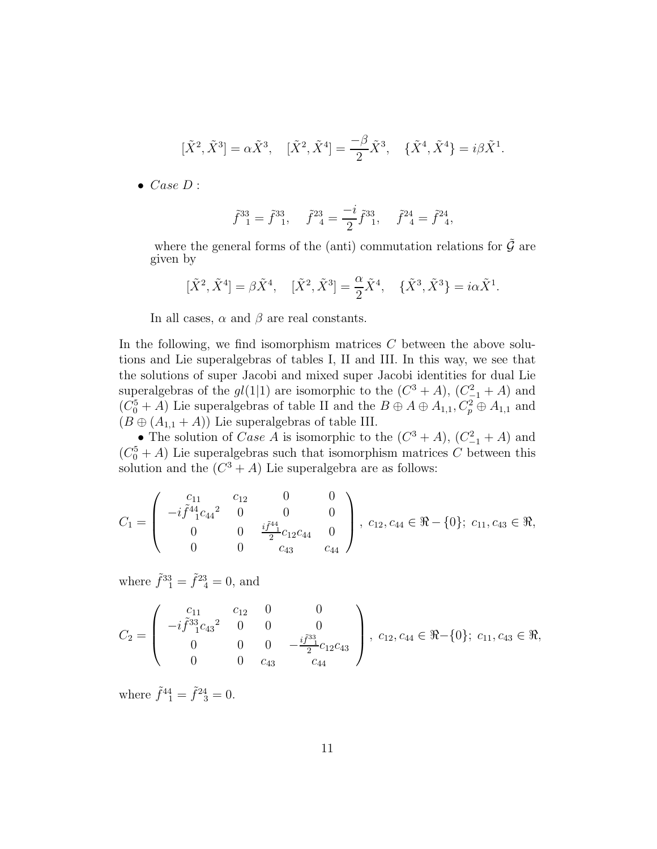$$
[\tilde{X}^2, \tilde{X}^3] = \alpha \tilde{X}^3
$$
,  $[\tilde{X}^2, \tilde{X}^4] = \frac{-\beta}{2} \tilde{X}^3$ ,  $\{\tilde{X}^4, \tilde{X}^4\} = i\beta \tilde{X}^1$ .

 $\bullet \ Case \ D$  :

$$
\tilde{f}_{1}^{33} = \tilde{f}_{1}^{33}, \quad \tilde{f}_{4}^{23} = \frac{-i}{2} \tilde{f}_{1}^{33}, \quad \tilde{f}_{4}^{24} = \tilde{f}_{4}^{24},
$$

where the general forms of the (anti) commutation relations for  $\tilde{\mathcal{G}}$  are given by

$$
[\tilde{X}^2,\tilde{X}^4]=\beta\tilde{X}^4,\quad [\tilde{X}^2,\tilde{X}^3]=\frac{\alpha}{2}\tilde{X}^4,\quad \{\tilde{X}^3,\tilde{X}^3\}=i\alpha\tilde{X}^1.
$$

In all cases,  $\alpha$  and  $\beta$  are real constants.

In the following, we find isomorphism matrices  $C$  between the above solutions and Lie superalgebras of tables I, II and III. In this way, we see that the solutions of super Jacobi and mixed super Jacobi identities for dual Lie superalgebras of the  $gl(1|1)$  are isomorphic to the  $(C^3 + A)$ ,  $(C_{-1}^2 + A)$  and  $(C_0^5 + A)$  Lie superalgebras of table II and the  $B \oplus A \oplus A_{1,1}, C_p^2 \oplus A_{1,1}$  and  $(B \oplus (A_{1,1} + A))$  Lie superalgebras of table III.

• The solution of *Case A* is isomorphic to the  $(C^3 + A)$ ,  $(C_{-1}^2 + A)$  and  $(C_0^5 + A)$  Lie superalgebras such that isomorphism matrices C between this solution and the  $(C^3 + A)$  Lie superalgebra are as follows:

$$
C_1 = \begin{pmatrix} c_{11} & c_{12} & 0 & 0 \ -i\tilde{f}^{44}_{1}c_{44}^{2} & 0 & 0 & 0 \ 0 & 0 & \frac{i\tilde{f}^{44}_{1}}{2}c_{12}c_{44} & 0 \ 0 & 0 & c_{43} & c_{44} \end{pmatrix}, c_{12}, c_{44} \in \Re - \{0\}; c_{11}, c_{43} \in \Re,
$$

where  $\tilde{f}^{33}_{1} = \tilde{f}^{23}_{4} = 0$ , and

$$
C_2 = \begin{pmatrix} c_{11} & c_{12} & 0 & 0 \ -i\tilde{f}_{1}^{33}c_{43} & 0 & 0 & 0 \ 0 & 0 & 0 & -\frac{i\tilde{f}_{1}^{33}c_{12}c_{43} \ 0 & 0 & c_{43} & c_{44} \end{pmatrix}, c_{12}, c_{44} \in \Re-\{0\}; c_{11}, c_{43} \in \Re,
$$

where  $\tilde{f}^{44} = \tilde{f}^{24} = 0$ .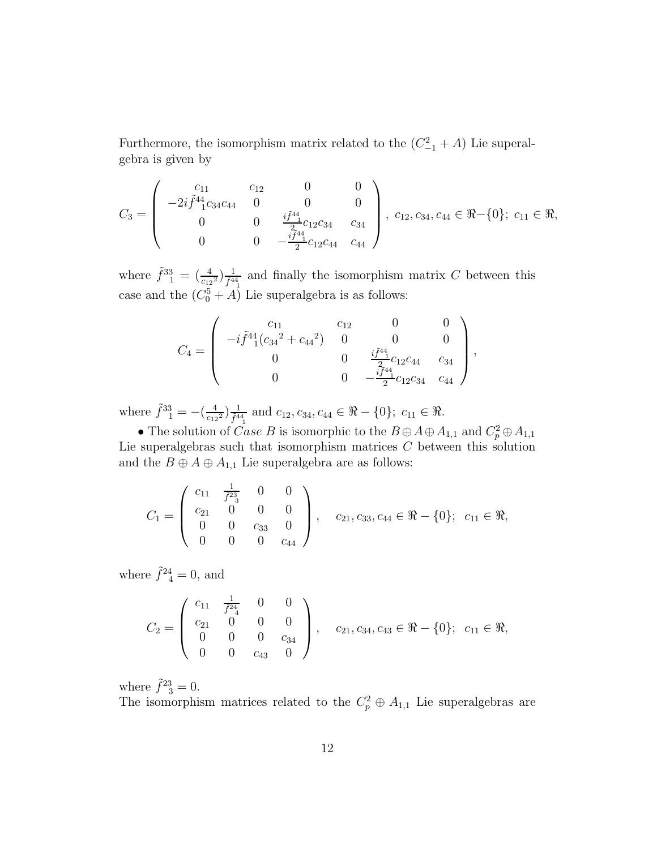Furthermore, the isomorphism matrix related to the  $(C_{-1}^2 + A)$  Lie superalgebra is given by

$$
C_3 = \begin{pmatrix} c_{11} & c_{12} & 0 & 0 \ -2i \tilde{f}_{11}^{44} c_{34} c_{44} & 0 & 0 & 0 \ 0 & 0 & \frac{i \tilde{f}^{44}}{2} c_{12} c_{34} & c_{34} \ 0 & 0 & -\frac{i \tilde{f}^{44}}{2} c_{12} c_{44} & c_{44} \end{pmatrix}, c_{12}, c_{34}, c_{44} \in \Re -\{0\}; c_{11} \in \Re,
$$

where  $\tilde{f}^{33}_{1} = \left(\frac{4}{c_{12}^2}\right) \frac{1}{\tilde{f}^{44}_{1}}$  and finally the isomorphism matrix C between this case and the  $(C_0^5 + A)$  Lie superalgebra is as follows:

$$
C_4 = \begin{pmatrix} c_{11} & c_{12} & 0 & 0 \\ -i\tilde{f}^4 4(c_{34}^2 + c_{44}^2) & 0 & 0 & 0 \\ 0 & 0 & \frac{i\tilde{f}^4 4}{2}c_{12}c_{44} & c_{34} \\ 0 & 0 & -\frac{i\tilde{f}^4 4}{2}c_{12}c_{34} & c_{44} \end{pmatrix},
$$

where  $\tilde{f}^{33}_{1} = -\left(\frac{4}{c_{12}^2}\right) \frac{1}{\tilde{f}^{44}_{1}}$  and  $c_{12}, c_{34}, c_{44} \in \Re -\{0\}; c_{11} \in \Re$ .

• The solution of *Case B* is isomorphic to the  $B \oplus A \oplus A_{1,1}$  and  $C_p^2 \oplus A_{1,1}$ Lie superalgebras such that isomorphism matrices  $C$  between this solution and the  $B \oplus A \oplus A_{1,1}$  Lie superalgebra are as follows:

$$
C_1 = \left(\begin{array}{cccc} c_{11} & \frac{1}{\tilde{f}^{23}} & 0 & 0 \\ c_{21} & 0 & 0 & 0 \\ 0 & 0 & c_{33} & 0 \\ 0 & 0 & 0 & c_{44} \end{array}\right), \quad c_{21}, c_{33}, c_{44} \in \Re - \{0\}; \quad c_{11} \in \Re,
$$

where  $\tilde{f}^{24}_{4} = 0$ , and

$$
C_2 = \left(\begin{array}{cccc} c_{11} & \frac{1}{f^{24}} & 0 & 0 \\ c_{21} & 0 & 0 & 0 \\ 0 & 0 & 0 & c_{34} \\ 0 & 0 & c_{43} & 0 \end{array}\right), \quad c_{21}, c_{34}, c_{43} \in \Re - \{0\}; \quad c_{11} \in \Re,
$$

where  $\tilde{f}^{23}_{3} = 0$ .

The isomorphism matrices related to the  $C_p^2 \oplus A_{1,1}$  Lie superalgebras are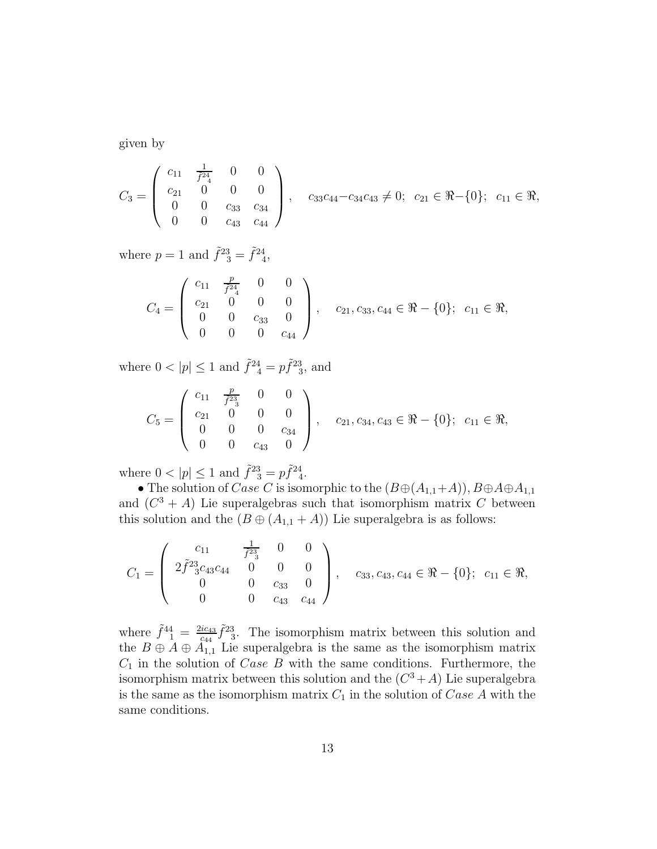given by

$$
C_3 = \left(\begin{array}{cccc} c_{11} & \frac{1}{f^{24}} & 0 & 0 \\ c_{21} & 0 & 0 & 0 \\ 0 & 0 & c_{33} & c_{34} \\ 0 & 0 & c_{43} & c_{44} \end{array}\right), \quad c_{33}c_{44} - c_{34}c_{43} \neq 0; \quad c_{21} \in \Re -\{0\}; \quad c_{11} \in \Re,
$$

where  $p = 1$  and  $\tilde{f}^{23} = \tilde{f}^{24}$ ,

$$
C_4 = \left(\begin{array}{cccc} c_{11} & \frac{p}{f^{24}} & 0 & 0\\ c_{21} & 0 & 0 & 0\\ 0 & 0 & c_{33} & 0\\ 0 & 0 & 0 & c_{44} \end{array}\right), \quad c_{21}, c_{33}, c_{44} \in \Re -\{0\}; \quad c_{11} \in \Re,
$$

where  $0 < |p| \le 1$  and  $\tilde{f}^{24} = p\tilde{f}^{23}$ , and

$$
C_5 = \left(\begin{array}{cccc} c_{11} & \frac{p}{f^{23}} & 0 & 0\\ c_{21} & 0 & 0 & 0\\ 0 & 0 & 0 & c_{34}\\ 0 & 0 & c_{43} & 0 \end{array}\right), \quad c_{21}, c_{34}, c_{43} \in \Re -\{0\}; \quad c_{11} \in \Re,
$$

where  $0 < |p| \leq 1$  and  $\tilde{f}^{23} = p\tilde{f}^{24}$ .

• The solution of Case C is isomorphic to the  $(B\oplus (A_{1,1}+A)), B\oplus A\oplus A_{1,1}$ and  $(C^3 + A)$  Lie superalgebras such that isomorphism matrix C between this solution and the  $(B \oplus (A_{1,1} + A))$  Lie superalgebra is as follows:

$$
C_1 = \begin{pmatrix} c_{11} & \frac{1}{f^{23}} & 0 & 0 \\ 2\tilde{f}^{23}c_{43}c_{44} & 0 & 0 & 0 \\ 0 & 0 & c_{33} & 0 \\ 0 & 0 & c_{43} & c_{44} \end{pmatrix}, \quad c_{33}, c_{43}, c_{44} \in \mathbb{R} - \{0\}; \quad c_{11} \in \mathbb{R},
$$

where  $\tilde{f}^{44}_{1} = \frac{2ic_{43}}{c_{44}}$  $\frac{\dot{q}_{c43}}{c_{44}}\tilde{f}^{23}_{-3}$ . The isomorphism matrix between this solution and the  $B \oplus A \oplus A_{1,1}$  Lie superalgebra is the same as the isomorphism matrix  $C_1$  in the solution of *Case B* with the same conditions. Furthermore, the isomorphism matrix between this solution and the  $(C^3 + A)$  Lie superalgebra is the same as the isomorphism matrix  $C_1$  in the solution of Case A with the same conditions.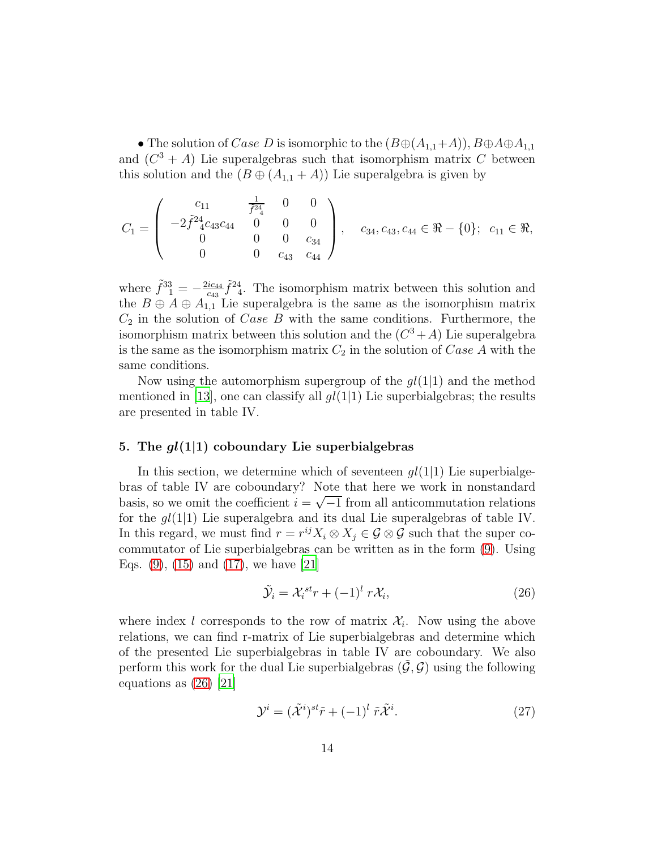• The solution of Case D is isomorphic to the  $(B\oplus (A_{1,1}+A)), B\oplus A\oplus A_{1,1}$ and  $(C^3 + A)$  Lie superalgebras such that isomorphism matrix C between this solution and the  $(B \oplus (A_{1,1} + A))$  Lie superalgebra is given by

$$
C_1 = \begin{pmatrix} c_{11} & \frac{1}{f^{24}} & 0 & 0 \\ -2\tilde{f}^2{}_{4}^4 c_{43}c_{44} & 0 & 0 & 0 \\ 0 & 0 & 0 & c_{34} \\ 0 & 0 & c_{43} & c_{44} \end{pmatrix}, \quad c_{34}, c_{43}, c_{44} \in \Re - \{0\}; \quad c_{11} \in \Re,
$$

where  $\tilde{f}^{33}_{1} = -\frac{2ic_{44}}{c_{43}}$  $\frac{ic_{44}}{c_{43}}\tilde{f}^{24}$ . The isomorphism matrix between this solution and the  $B \oplus A \oplus A_{1,1}$  Lie superalgebra is the same as the isomorphism matrix  $C_2$  in the solution of  $Case B$  with the same conditions. Furthermore, the isomorphism matrix between this solution and the  $(C^3 + A)$  Lie superalgebra is the same as the isomorphism matrix  $C_2$  in the solution of  $Case A$  with the same conditions.

Now using the automorphism supergroup of the  $gl(1|1)$  and the method mentioned in [\[13\]](#page-33-10), one can classify all  $gl(1|1)$  Lie superbialgebras; the results are presented in table IV.

#### 5. The  $gl(1|1)$  coboundary Lie superbialgebras

In this section, we determine which of seventeen  $ql(1|1)$  Lie superbialgebras of table IV are coboundary? Note that here we work in nonstandard basis, so we omit the coefficient  $i = \sqrt{-1}$  from all anticommutation relations for the  $gl(1|1)$  Lie superalgebra and its dual Lie superalgebras of table IV. In this regard, we must find  $r = r^{ij}X_i \otimes X_j \in \mathcal{G} \otimes \mathcal{G}$  such that the super cocommutator of Lie superbialgebras can be written as in the form [\(9\)](#page-3-3). Using Eqs.  $(9)$ ,  $(15)$  and  $(17)$ , we have  $[21]$ 

<span id="page-13-0"></span>
$$
\tilde{\mathcal{Y}}_i = \mathcal{X}_i^{st} r + (-1)^l r \mathcal{X}_i,
$$
\n(26)

where index l corresponds to the row of matrix  $\mathcal{X}_i$ . Now using the above relations, we can find r-matrix of Lie superbialgebras and determine which of the presented Lie superbialgebras in table IV are coboundary. We also perform this work for the dual Lie superbialgebras  $(\mathcal{G}, \mathcal{G})$  using the following equations as [\(26\)](#page-13-0) [\[21](#page-34-6)]

$$
\mathcal{Y}^i = (\tilde{\mathcal{X}}^i)^{st}\tilde{r} + (-1)^l \tilde{r}\tilde{\mathcal{X}}^i.
$$
 (27)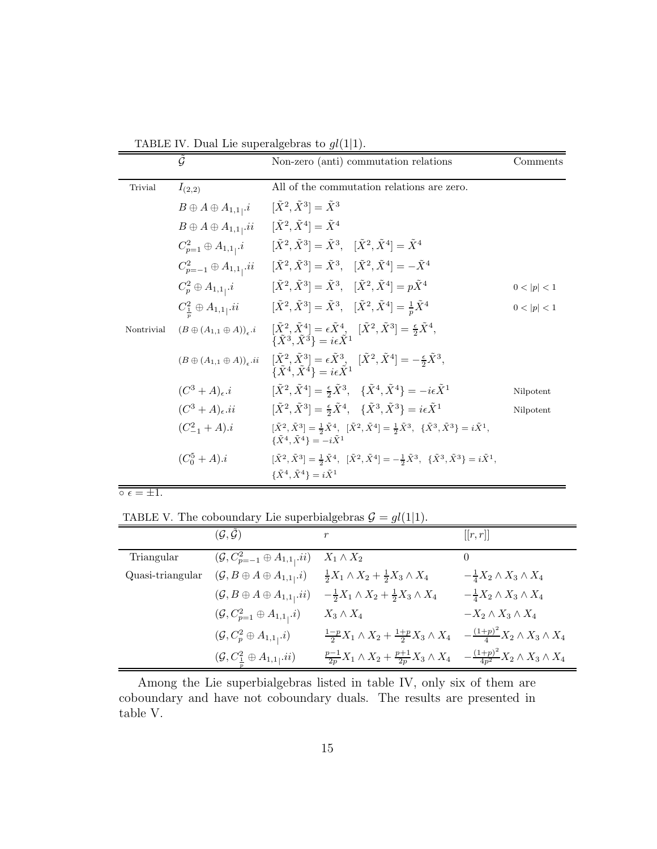| TABLE IV. Dual Lie superalgebras to $gl(1 1)$ . |  |  |  |  |  |
|-------------------------------------------------|--|--|--|--|--|
|                                                 |  |  |  |  |  |

|            | $\tilde{\mathcal{G}}$                        | Non-zero (anti) commutation relations                                                                                                                                                                             | Comments    |
|------------|----------------------------------------------|-------------------------------------------------------------------------------------------------------------------------------------------------------------------------------------------------------------------|-------------|
| Trivial    | $I_{(2,2)}$                                  | All of the commutation relations are zero.                                                                                                                                                                        |             |
|            | $B \oplus A \oplus A_{1,1}$ , i              | $[\tilde{X}^2, \tilde{X}^3] = \tilde{X}^3$                                                                                                                                                                        |             |
|            | $B \oplus A \oplus A_{1,1}$ , ii             | $[\tilde{X}^2, \tilde{X}^4] = \tilde{X}^4$                                                                                                                                                                        |             |
|            | $C_{p=1}^2\oplus A_{1,1}i$                   | $[\tilde{X}^2, \tilde{X}^3] = \tilde{X}^3, \quad [\tilde{X}^2, \tilde{X}^4] = \tilde{X}^4$                                                                                                                        |             |
|            | $C_{p=-1}^2 \oplus A_{1,1}$ , ii             | $[\tilde{X}^2, \tilde{X}^3] = \tilde{X}^3$ , $[\tilde{X}^2, \tilde{X}^4] = -\tilde{X}^4$                                                                                                                          |             |
|            | $C_p^2 \oplus A_{1,1}i$                      | $[\tilde{X}^2, \tilde{X}^3] = \tilde{X}^3$ , $[\tilde{X}^2, \tilde{X}^4] = p\tilde{X}^4$                                                                                                                          | 0 <  p  < 1 |
|            | $C^2_{\frac{1}{n}} \oplus A_{1,1}$ , ii      | $[\tilde{X}^2, \tilde{X}^3] = \tilde{X}^3$ , $[\tilde{X}^2, \tilde{X}^4] = \frac{1}{n}\tilde{X}^4$                                                                                                                | 0 <  p  < 1 |
| Nontrivial | $(B \oplus (A_{1,1} \oplus A))_{\epsilon}.i$ | $[\tilde{X}^2, \tilde{X}^4] = \epsilon \tilde{X}^4, \ \{\tilde{X}^3, \tilde{X}^3\} = i\epsilon \tilde{X}^1$<br>$\{\tilde{X}^3, \tilde{X}^3\} = i\epsilon \tilde{X}^1$                                             |             |
|            | $(B\oplus (A_{1,1}\oplus A))_{\epsilon}.ii$  | $[\tilde{X}^2, \tilde{X}^3] = \epsilon \tilde{X}^3$ , $[\tilde{X}^2, \tilde{X}^4] = -\frac{\epsilon}{2} \tilde{X}^3$ ,<br>$\{\tilde{X}^4, \tilde{X}^4\} = i\epsilon \tilde{X}^1$                                  |             |
|            | $(C^3 + A)_{\epsilon}.i$                     | $[\tilde{X}^2, \tilde{X}^4] = \frac{\epsilon}{2} \tilde{X}^3$ , $\{\tilde{X}^4, \tilde{X}^4\} = -i\epsilon \tilde{X}^1$                                                                                           | Nilpotent   |
|            | $(C^3 + A)_{\epsilon}$ .ii                   | $[\tilde{X}^2, \tilde{X}^3] = \frac{\epsilon}{2} \tilde{X}^4$ , $\{\tilde{X}^3, \tilde{X}^3\} = i\epsilon \tilde{X}^1$                                                                                            | Nilpotent   |
|            | $(C_{-1}^2 + A).i$                           | $[\tilde{X}^2, \tilde{X}^3] = \frac{1}{2}\tilde{X}^4$ , $[\tilde{X}^2, \tilde{X}^4] = \frac{1}{2}\tilde{X}^3$ , $\{\tilde{X}^3, \tilde{X}^3\} = i\tilde{X}^1$ ,<br>$\{\tilde{X}^4, \tilde{X}^4\} = -i\tilde{X}^1$ |             |
|            | $(C_0^5 + A).i$                              | $[\tilde{X}^2, \tilde{X}^3] = \frac{1}{2}\tilde{X}^4$ , $[\tilde{X}^2, \tilde{X}^4] = -\frac{1}{2}\tilde{X}^3$ , $\{\tilde{X}^3, \tilde{X}^3\} = i\tilde{X}^1$ ,                                                  |             |
|            |                                              | $\{\tilde{X}^4, \tilde{X}^4\} = i\tilde{X}^1$                                                                                                                                                                     |             |

 $\circ$   $\epsilon = \pm 1$ .

TABLE V. The coboundary Lie superbialgebras  $\mathcal{G} = gl(1|1)$ .

|                  | $(\mathcal{G}, \tilde{\mathcal{G}})$                     | $\boldsymbol{r}$                                                                                                              | [[r,r]]                                       |
|------------------|----------------------------------------------------------|-------------------------------------------------------------------------------------------------------------------------------|-----------------------------------------------|
| Triangular       | $(\mathcal{G}, C^2_{p=-1} \oplus A_{1,1}, ii)$           | $X_1 \wedge X_2$                                                                                                              | $\theta$                                      |
| Quasi-triangular | $(\mathcal{G},B \oplus A \oplus A_{1,1},i)$              | $\frac{1}{2}X_1 \wedge X_2 + \frac{1}{2}X_3 \wedge X_4$                                                                       | $-\frac{1}{4}X_2 \wedge X_3 \wedge X_4$       |
|                  | $(\mathcal{G}, B \oplus A \oplus A_{1,1}, ii)$           | $-\frac{1}{2}X_1 \wedge X_2 + \frac{1}{2}X_3 \wedge X_4$                                                                      | $-\frac{1}{4}X_2 \wedge X_3 \wedge X_4$       |
|                  | $(\mathcal{G}, C^2_{p=1} \oplus A_{1,1}, i)$             | $X_3 \wedge X_4$                                                                                                              | $-X_2 \wedge X_3 \wedge X_4$                  |
|                  | $(\mathcal{G}, C_p^2 \oplus A_{1,1}, i)$                 | $\frac{1-p}{2}X_1 \wedge X_2 + \frac{1+p}{2}X_3 \wedge X_4$                                                                   | $-\frac{(1+p)^2}{4}X_2 \wedge X_3 \wedge X_4$ |
|                  | $(\mathcal{G}, C^2_{\underline{1}} \oplus A_{1,1}$ , ii) | $\frac{p-1}{2p}X_{1}\wedge X_{2}+\frac{p+1}{2p}X_{3}\wedge X_{4}\quad -\frac{(1+p)^{2}}{4p^{2}}X_{2}\wedge X_{3}\wedge X_{4}$ |                                               |

Among the Lie superbialgebras listed in table IV, only six of them are coboundary and have not coboundary duals. The results are presented in table V.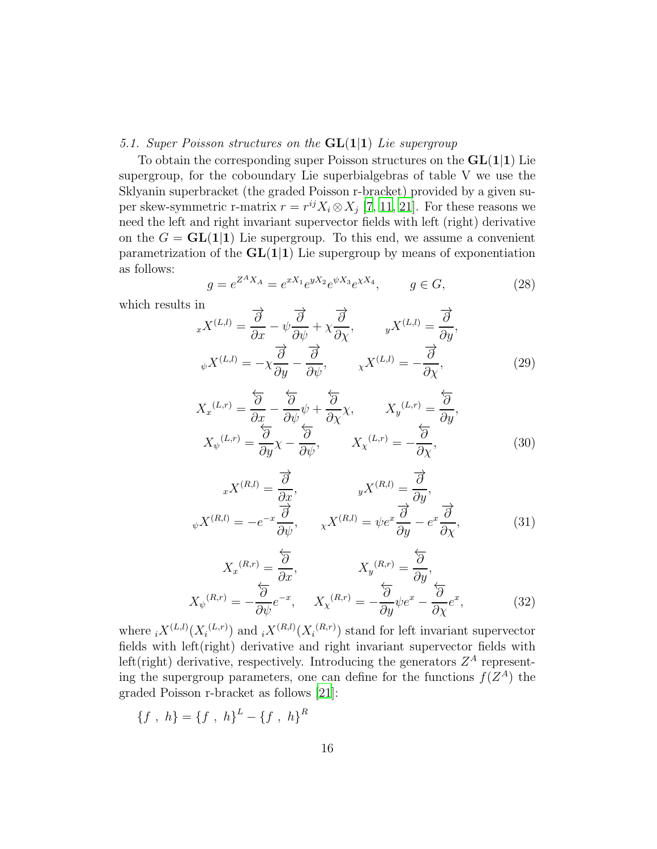#### *5.1. Super Poisson structures on the* GL(1|1) *Lie supergroup*

To obtain the corresponding super Poisson structures on the  $GL(1|1)$  Lie supergroup, for the coboundary Lie superbialgebras of table V we use the Sklyanin superbracket (the graded Poisson r-bracket) provided by a given super skew-symmetric r-matrix  $r = r^{ij} X_i \otimes X_j$  [\[7,](#page-33-4) [11,](#page-33-8) [21](#page-34-6)]. For these reasons we need the left and right invariant supervector fields with left (right) derivative on the  $G = GL(1|1)$  Lie supergroup. To this end, we assume a convenient parametrization of the  $GL(1|1)$  Lie supergroup by means of exponentiation as follows:

$$
g = e^{Z^A X_A} = e^{x X_1} e^{y X_2} e^{\psi X_3} e^{\chi X_4}, \qquad g \in G,
$$
\n(28)

which results in

$$
\lim_{x} X^{(L,l)} = \frac{\overrightarrow{\partial}}{\partial x} - \psi \frac{\overrightarrow{\partial}}{\partial \psi} + \chi \frac{\overrightarrow{\partial}}{\partial \chi}, \qquad y X^{(L,l)} = \frac{\overrightarrow{\partial}}{\partial y},
$$

$$
\psi X^{(L,l)} = -\chi \frac{\overrightarrow{\partial}}{\partial y} - \frac{\overrightarrow{\partial}}{\partial \psi}, \qquad \chi X^{(L,l)} = -\frac{\overrightarrow{\partial}}{\partial \chi}, \tag{29}
$$

<span id="page-15-0"></span>
$$
X_{x}^{(L,r)} = \frac{\overleftarrow{\partial}}{\partial x} - \frac{\overleftarrow{\partial}}{\partial \psi} \psi + \frac{\overleftarrow{\partial}}{\partial \chi} \chi, \qquad X_{y}^{(L,r)} = \frac{\overleftarrow{\partial}}{\partial y},
$$

$$
X_{\psi}^{(L,r)} = \frac{\overleftarrow{\partial}}{\partial y} \chi - \frac{\overleftarrow{\partial}}{\partial \psi}, \qquad X_{\chi}^{(L,r)} = -\frac{\overleftarrow{\partial}}{\partial \chi}, \tag{30}
$$

$$
{}_{x}X^{(R,l)} = \frac{\overrightarrow{\partial}}{\frac{\partial x}{\partial y}}, \qquad {}_{y}X^{(R,l)} = \frac{\overrightarrow{\partial}}{\frac{\partial y}{\partial y}},
$$

$$
{}_{\psi}X^{(R,l)} = -e^{-x}\frac{\overrightarrow{\partial}}{\frac{\partial \psi}{\partial y}}, \qquad {}_{\chi}X^{(R,l)} = \psi e^{x}\frac{\overrightarrow{\partial}}{\frac{\partial y}{\partial y}} - e^{x}\frac{\overrightarrow{\partial}}{\frac{\partial \chi}{\partial x}},
$$
(31)

<span id="page-15-1"></span>
$$
X_{x}^{(R,r)} = \frac{\overleftarrow{\partial}}{\partial x}, \qquad X_{y}^{(R,r)} = \frac{\overleftarrow{\partial}}{\partial y},
$$

$$
X_{\psi}^{(R,r)} = -\frac{\overleftarrow{\partial}}{\partial \psi}e^{-x}, \qquad X_{\chi}^{(R,r)} = -\frac{\overleftarrow{\partial}}{\partial y}\psi e^{x} - \frac{\overleftarrow{\partial}}{\partial \chi}e^{x}, \qquad (32)
$$

where  $_i X^{(L,l)}(X_i^{(L,r)})$  and  $_i X^{(R,l)}(X_i^{(R,r)})$  stand for left invariant supervector fields with left(right) derivative and right invariant supervector fields with left(right) derivative, respectively. Introducing the generators  $Z^A$  representing the supergroup parameters, one can define for the functions  $f(Z^A)$  the graded Poisson r-bracket as follows [\[21\]](#page-34-6):

$$
\{f \, , \, h\} = \{f \, , \, h\}^L - \{f \, , \, h\}^R
$$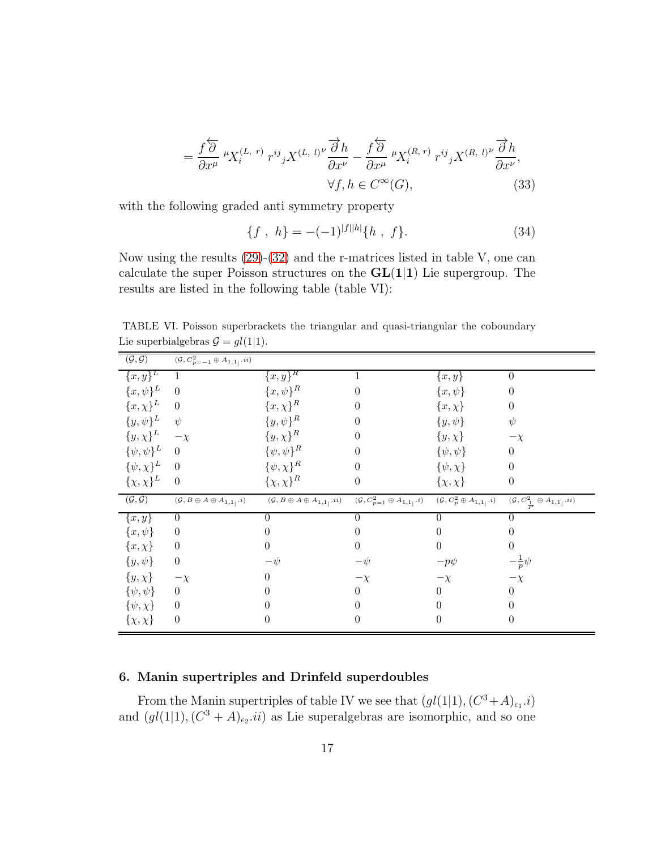$$
= \frac{f\overleftrightarrow{\partial}}{\partial x^{\mu}} \,^{\mu}X_{i}^{(L, r)} \, r^{ij}{}_{j}X^{(L, l)\nu} \frac{\overrightarrow{\partial}h}{\partial x^{\nu}} - \frac{f\overleftrightarrow{\partial}}{\partial x^{\mu}} \,^{\mu}X_{i}^{(R, r)} \, r^{ij}{}_{j}X^{(R, l)\nu} \frac{\overrightarrow{\partial}h}{\partial x^{\nu}},
$$

$$
\forall f, h \in C^{\infty}(G), \tag{33}
$$

with the following graded anti symmetry property

$$
\{f \ ,\ h\} = -(-1)^{|f||h|} \{h \ ,\ f\}.
$$
 (34)

Now using the results  $(29)-(32)$  $(29)-(32)$  and the r-matrices listed in table V, one can calculate the super Poisson structures on the  $GL(1|1)$  Lie supergroup. The results are listed in the following table (table VI):

| $(\mathcal{G},\tilde{\mathcal{G}})$ | $(\mathcal{G}, C^2_{p=-1}\oplus A_{1,1_{\ }}.ii)$          |                                                    |                                                                   |                                            |                                                         |
|-------------------------------------|------------------------------------------------------------|----------------------------------------------------|-------------------------------------------------------------------|--------------------------------------------|---------------------------------------------------------|
| $\{\overline{x},\overline{y}\}^L$   | 1                                                          | ${x,y}^R$                                          | 1                                                                 | $\{x,y\}$                                  | $\overline{0}$                                          |
| $\{x,\psi\}^L$                      | $\theta$                                                   | ${x, \psi}^R$                                      | $\overline{0}$                                                    | $\{x,\psi\}$                               | $\theta$                                                |
| ${x, \chi}^L$                       | $\theta$                                                   | ${x, \chi}^R$                                      | $\theta$                                                          | ${x, \chi}$                                | $\boldsymbol{0}$                                        |
| $\{y,\psi\}^L$                      | $\psi$                                                     | $\{y,\psi\}^R$                                     | $\theta$                                                          | $\{y,\psi\}$                               | $\psi$                                                  |
| $\{y,\chi\}^L$                      | $-\chi$                                                    | $\{y,\chi\}^R$                                     | $\boldsymbol{0}$                                                  | $\{y,\chi\}$                               | $-\chi$                                                 |
| $\{\psi,\psi\}^L$                   | $\overline{0}$                                             | $\{\psi,\psi\}^R$                                  | $\theta$                                                          | $\{\psi,\psi\}$                            | $\boldsymbol{0}$                                        |
| $\{\psi,\chi\}^L$                   | $\overline{0}$                                             | $\{\psi,\chi\}^R$                                  | $\overline{0}$                                                    | $\{\psi,\chi\}$                            | $\theta$                                                |
| $\{\chi,\chi\}^L$                   | $\overline{0}$                                             | $\{\chi,\chi\}^R$                                  | $\boldsymbol{0}$                                                  | $\{\chi,\chi\}$                            | $\boldsymbol{0}$                                        |
| $(\mathcal{G},\tilde{\mathcal{G}})$ | $(\mathcal{G},B\oplus A\oplus A_{1,1_{\vert}}\mathbf{.}i)$ | $(\mathcal{G},B\oplus A\oplus A_{1,1_{\vert}}.ii)$ | $(\mathcal{G}, C_{p=1}^2\oplus A_{1,1}$ <sub>1</sub> . <i>i</i> ) | $(\mathcal{G}, C_p^2 \oplus A_{1,1}^-, i)$ | $(\mathcal{G}, C^2_{\frac{1}{p}} \oplus A_{1,1}  , ii)$ |
| $\{x,y\}$                           | $\theta$                                                   | 0                                                  | $\theta$                                                          | $\theta$                                   | $\theta$                                                |
| $\{x,\psi\}$                        | $\overline{0}$                                             | 0                                                  | $\theta$                                                          | $\theta$                                   | $\theta$                                                |
| ${x, \chi}$                         | $\theta$                                                   | $\theta$                                           | $\boldsymbol{0}$                                                  | $\overline{0}$                             | $\theta$                                                |
| $\{y,\psi\}$                        | $\boldsymbol{0}$                                           | $-\psi$                                            | $-\psi$                                                           | $-p\psi$                                   | $-\frac{1}{p}\psi$                                      |
| $\{y,\chi\}$                        | $-\chi$                                                    | 0                                                  | $-\chi$                                                           | $-\chi$                                    | $-\chi$                                                 |
| $\{\psi,\psi\}$                     | $\overline{0}$                                             | 0                                                  | $\overline{0}$                                                    | $\theta$                                   | $\theta$                                                |
| $\{\psi,\chi\}$                     | $\overline{0}$                                             | 0                                                  | $\theta$                                                          | $\theta$                                   | $\theta$                                                |
| $\{\chi,\chi\}$                     | $\theta$                                                   | 0                                                  | $\overline{0}$                                                    | $\theta$                                   | $\overline{0}$                                          |

TABLE VI. Poisson superbrackets the triangular and quasi-triangular the coboundary Lie superbialgebras  $\mathcal{G} = gl(1|1)$ .

# 6. Manin supertriples and Drinfeld superdoubles

From the Manin supertriples of table IV we see that  $(gl(1|1), (C^3+A)_{\epsilon_1}.i)$ and  $(gl(1|1), (C^3 + A)_{\epsilon_2}.ii)$  as Lie superalgebras are isomorphic, and so one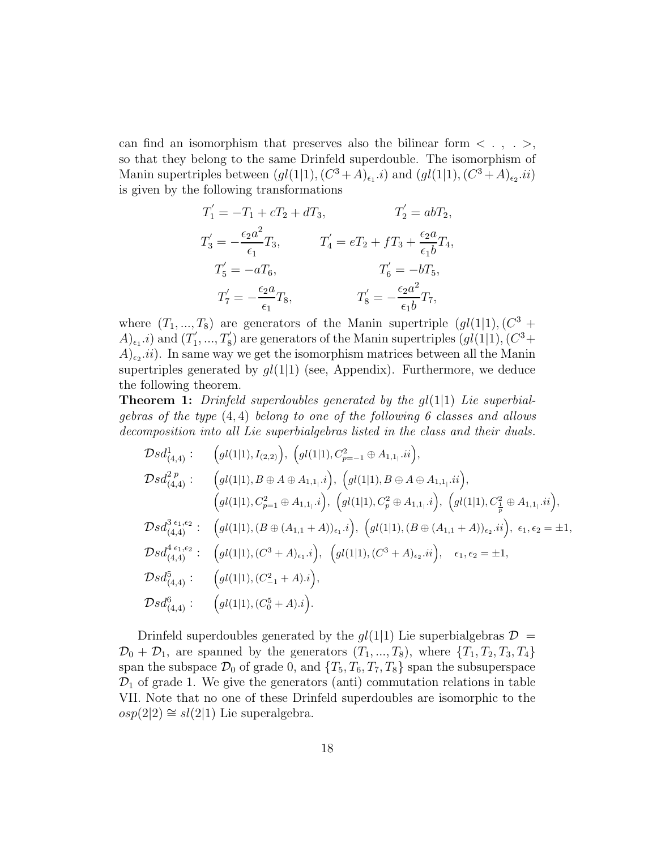can find an isomorphism that preserves also the bilinear form  $<$  . ,  $\,$  .  $>$  , so that they belong to the same Drinfeld superdouble. The isomorphism of Manin supertriples between  $(gl(1|1), (C^3+A)_{\epsilon_1}.i)$  and  $(gl(1|1), (C^3+A)_{\epsilon_2}.ii)$ is given by the following transformations

$$
T'_1 = -T_1 + cT_2 + dT_3, \t T'_2 = abT_2,
$$
  
\n
$$
T'_3 = -\frac{\epsilon_2 a^2}{\epsilon_1} T_3, \t T'_4 = eT_2 + fT_3 + \frac{\epsilon_2 a}{\epsilon_1 b} T_4,
$$
  
\n
$$
T'_5 = -aT_6, \t T'_6 = -bT_5,
$$
  
\n
$$
T'_7 = -\frac{\epsilon_2 a}{\epsilon_1} T_8, \t T'_8 = -\frac{\epsilon_2 a^2}{\epsilon_1 b} T_7,
$$

where  $(T_1, ..., T_8)$  are generators of the Manin supertriple  $(gl(1|1), (C^3 +$  $(A)_{\epsilon_1}.i)$  and  $(T'_1)$  $T_1',...,T_8')$  are generators of the Manin supertriples  $(gl(1|1),(C^3+1))$  $(A)_{\epsilon_2}.ii)$ . In same way we get the isomorphism matrices between all the Manin supertriples generated by  $gl(1|1)$  (see, Appendix). Furthermore, we deduce the following theorem.

Theorem 1: *Drinfeld superdoubles generated by the* gl(1|1) *Lie superbialgebras of the type* (4, 4) *belong to one of the following 6 classes and allows decomposition into all Lie superbialgebras listed in the class and their duals.*

$$
\mathcal{D}sd_{(4,4)}^{1}:\n\begin{aligned}\n&\left(gl(1|1),I_{(2,2)}\right),\n\left(gl(1|1),C_{p=-1}^{2}\oplus A_{1,1_{1}}.ii\right), \\
&\mathcal{D}sd_{(4,4)}^{2p}:\n\left(gl(1|1),B\oplus A\oplus A_{1,1_{1}}.i\right),\n\left(gl(1|1),B\oplus A\oplus A_{1,1_{1}}.ii\right), \\
&\left(gl(1|1),C_{p=1}^{2}\oplus A_{1,1_{1}}.i\right),\n\left(gl(1|1),C_{p}^{2}\oplus A_{1,1_{1}}.i\right),\n\left(gl(1|1),C_{p}^{2}\oplus A_{1,1_{1}}.ii\right), \\
&\mathcal{D}sd_{(4,4)}^{3\epsilon_{1},\epsilon_{2}}:\n\left(gl(1|1),(B\oplus (A_{1,1}+A))_{\epsilon_{1}}.i\right),\n\left(gl(1|1),(B\oplus (A_{1,1}+A))_{\epsilon_{2}}.ii\right),\n\epsilon_{1},\epsilon_{2}=\pm 1, \\
&\mathcal{D}sd_{(4,4)}^{4\epsilon_{1},\epsilon_{2}}:\n\left(gl(1|1),(C^{3}+A)_{\epsilon_{1}}.i\right),\n\left(gl(1|1),(C^{3}+A)_{\epsilon_{2}}.ii\right),\n\epsilon_{1},\epsilon_{2}=\pm 1, \\
&\mathcal{D}sd_{(4,4)}^{5}:\n\left(gl(1|1),(C_{-1}^{2}+A).i\right), \\
&\mathcal{D}sd_{(4,4)}^{6}:\n\left(gl(1|1),(C_{0}^{5}+A).i\right).\n\end{aligned}
$$

Drinfeld superdoubles generated by the  $gl(1|1)$  Lie superbialgebras  $\mathcal{D} =$  $\mathcal{D}_0 + \mathcal{D}_1$ , are spanned by the generators  $(T_1, ..., T_8)$ , where  $\{T_1, T_2, T_3, T_4\}$ span the subspace  $\mathcal{D}_0$  of grade 0, and  $\{T_5, T_6, T_7, T_8\}$  span the subsuperspace  $\mathcal{D}_1$  of grade 1. We give the generators (anti) commutation relations in table VII. Note that no one of these Drinfeld superdoubles are isomorphic to the  $osp(2|2) \cong sl(2|1)$  Lie superalgebra.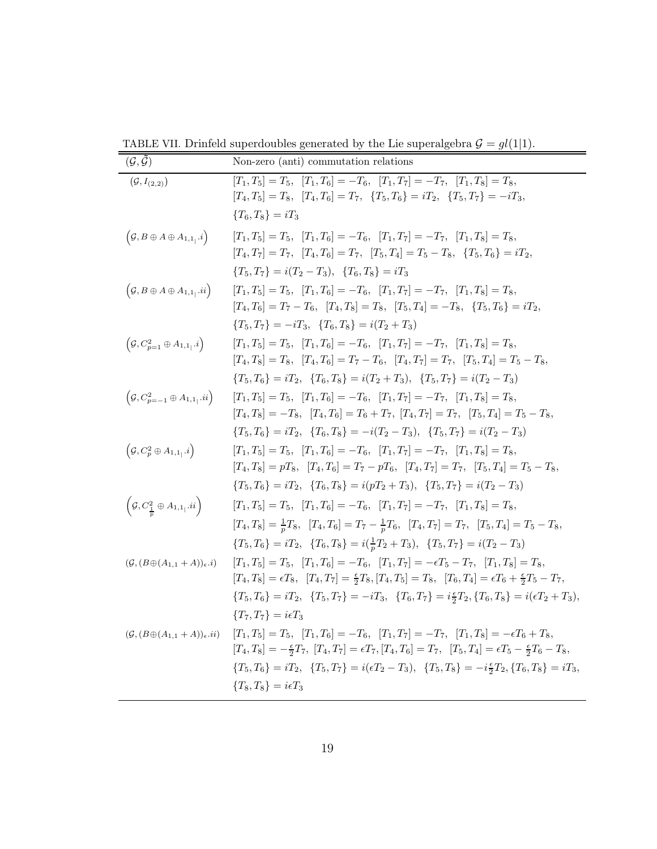TABLE VII. Drinfeld superdoubles generated by the Lie superalgebra  $\mathcal{G} = gl(1|1)$ .

| $(\mathcal{G},\tilde{\mathcal{G}})$                         | Non-zero (anti) commutation relations                                                                                                                   |
|-------------------------------------------------------------|---------------------------------------------------------------------------------------------------------------------------------------------------------|
| $(\mathcal{G}, I_{(2,2)})$                                  | $[T_1, T_5] = T_5$ , $[T_1, T_6] = -T_6$ , $[T_1, T_7] = -T_7$ , $[T_1, T_8] = T_8$ ,                                                                   |
|                                                             | $[T_4, T_5] = T_8$ , $[T_4, T_6] = T_7$ , $\{T_5, T_6\} = iT_2$ , $\{T_5, T_7\} = -iT_3$ ,                                                              |
|                                                             | ${T_6, T_8} = iT_3$                                                                                                                                     |
| $\left(\mathcal{G},B\oplus A\oplus A_{1,1},i\right)$        | $[T_1, T_5] = T_5$ , $[T_1, T_6] = -T_6$ , $[T_1, T_7] = -T_7$ , $[T_1, T_8] = T_8$ ,                                                                   |
|                                                             | $[T_4, T_7] = T_7$ , $[T_4, T_6] = T_7$ , $[T_5, T_4] = T_5 - T_8$ , ${T_5, T_6} = iT_2$ ,                                                              |
|                                                             | ${T_5, T_7} = i(T_2 - T_3), \quad {T_6, T_8} = iT_3$                                                                                                    |
| $\left(\mathcal{G},B\oplus A\oplus A_{1,1},ii\right)$       | $[T_1, T_5] = T_5$ , $[T_1, T_6] = -T_6$ , $[T_1, T_7] = -T_7$ , $[T_1, T_8] = T_8$ ,                                                                   |
|                                                             | $[T_4, T_6] = T_7 - T_6$ , $[T_4, T_8] = T_8$ , $[T_5, T_4] = -T_8$ , $\{T_5, T_6\} = iT_2$ ,                                                           |
|                                                             | ${T_5, T_7} = -iT_3, T_6, T_8} = i(T_2 + T_3)$                                                                                                          |
| $\left(\mathcal{G}, C_{p=1}^2\oplus A_{1,1} \right)$        | $[T_1, T_5] = T_5$ , $[T_1, T_6] = -T_6$ , $[T_1, T_7] = -T_7$ , $[T_1, T_8] = T_8$ ,                                                                   |
|                                                             | $[T_4, T_8] = T_8$ , $[T_4, T_6] = T_7 - T_6$ , $[T_4, T_7] = T_7$ , $[T_5, T_4] = T_5 - T_8$ ,                                                         |
|                                                             | ${T_5, T_6} = iT_2, \tT_6, T_8 = i(T_2 + T_3), \tT_5, T_7 = i(T_2 - T_3)$                                                                               |
| $\left(\mathcal{G}, C_{p=-1}^2\oplus A_{1,1}, ii\right)$    | $[T_1, T_5] = T_5$ , $[T_1, T_6] = -T_6$ , $[T_1, T_7] = -T_7$ , $[T_1, T_8] = T_8$ ,                                                                   |
|                                                             | $[T_4, T_8] = -T_8$ , $[T_4, T_6] = T_6 + T_7$ , $[T_4, T_7] = T_7$ , $[T_5, T_4] = T_5 - T_8$ ,                                                        |
|                                                             | ${T_5, T_6} = iT_2, \tT_6, T_8 = -i(T_2 - T_3), \tT_5, T_7 = i(T_2 - T_3)$                                                                              |
| $\left(\mathcal{G}, C_p^2 \oplus A_{1,1} \right]$           | $[T_1, T_5] = T_5$ , $[T_1, T_6] = -T_6$ , $[T_1, T_7] = -T_7$ , $[T_1, T_8] = T_8$ ,                                                                   |
|                                                             | $[T_4, T_8] = pT_8$ , $[T_4, T_6] = T_7 - pT_6$ , $[T_4, T_7] = T_7$ , $[T_5, T_4] = T_5 - T_8$ ,                                                       |
|                                                             | ${T_5, T_6} = iT_2, {T_6, T_8} = i(pT_2 + T_3), {T_5, T_7} = i(T_2 - T_3)$                                                                              |
| $\left(\mathcal{G}, C^2_{\frac{1}{n}} \oplus A_{1,1}$ , ii) | $[T_1, T_5] = T_5$ , $[T_1, T_6] = -T_6$ , $[T_1, T_7] = -T_7$ , $[T_1, T_8] = T_8$ ,                                                                   |
|                                                             | $[T_4, T_8] = \frac{1}{n}T_8$ , $[T_4, T_6] = T_7 - \frac{1}{n}T_6$ , $[T_4, T_7] = T_7$ , $[T_5, T_4] = T_5 - T_8$ ,                                   |
|                                                             | ${T_5, T_6} = iT_2, {T_6, T_8} = i(\frac{1}{n}T_2 + T_3), {T_5, T_7} = i(T_2 - T_3)$                                                                    |
| $(\mathcal{G}, (B\oplus (A_{1,1}+A))_{\epsilon}.i)$         | $[T_1, T_5] = T_5$ , $[T_1, T_6] = -T_6$ , $[T_1, T_7] = -\epsilon T_5 - T_7$ , $[T_1, T_8] = T_8$ ,                                                    |
|                                                             | $[T_4, T_8] = \epsilon T_8$ , $[T_4, T_7] = \frac{\epsilon}{2} T_8$ , $[T_4, T_5] = T_8$ , $[T_6, T_4] = \epsilon T_6 + \frac{\epsilon}{2} T_5 - T_7$ , |
|                                                             | ${T_5, T_6} = iT_2, \tT_5, T_7 = -iT_3, \tT_6, T_7 = i\frac{6}{2}T_2, {T_6, T_8} = i(\epsilon T_2 + T_3),$                                              |
|                                                             | ${T_7,T_7} = i\epsilon T_3$                                                                                                                             |
| $(\mathcal{G},(B\!\oplus\!(A_{1,1}+A))_\epsilon.ii)$        | $[T_1, T_5] = T_5$ , $[T_1, T_6] = -T_6$ , $[T_1, T_7] = -T_7$ , $[T_1, T_8] = -\epsilon T_6 + T_8$ ,                                                   |
|                                                             | $[T_4, T_8] = -\frac{\epsilon}{2}T_7$ , $[T_4, T_7] = \epsilon T_7$ , $[T_4, T_6] = T_7$ , $[T_5, T_4] = \epsilon T_5 - \frac{\epsilon}{2}T_6 - T_8$ ,  |
|                                                             | ${T_5, T_6} = iT_2, \tT_5, T_7 = i(\epsilon T_2 - T_3), \tT_5, T_8 = -i\frac{\epsilon}{2}T_2, \tT_6, T_8 = iT_3,$                                       |
|                                                             | ${T_8,T_8} = i\epsilon T_3$                                                                                                                             |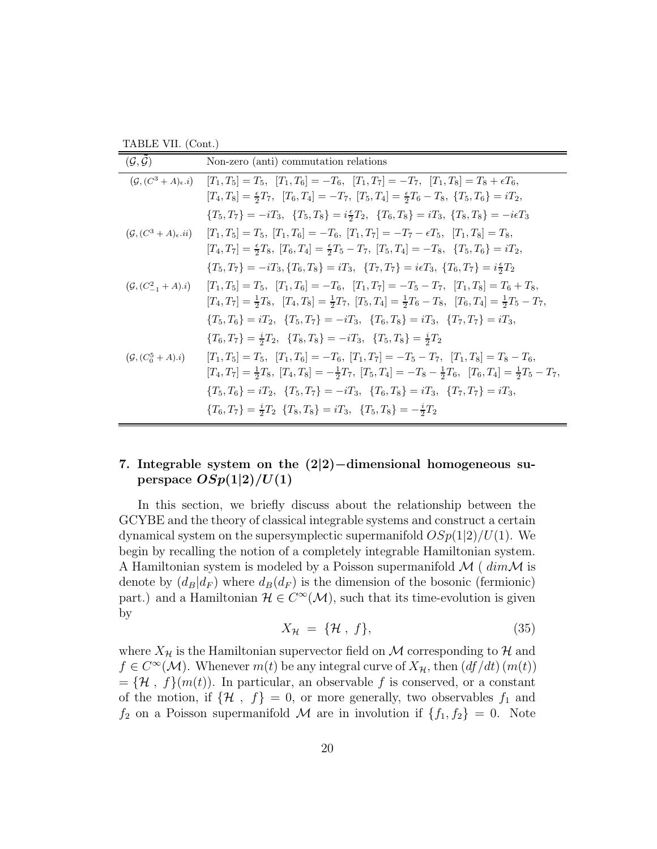TABLE VII. (Cont.)

| $(\mathcal{G},\tilde{\mathcal{G}})$   | Non-zero (anti) commutation relations                                                                                                         |
|---------------------------------------|-----------------------------------------------------------------------------------------------------------------------------------------------|
| $(\mathcal{G}, (C^3+A)_\epsilon.i)$   | $[T_1, T_5] = T_5$ , $[T_1, T_6] = -T_6$ , $[T_1, T_7] = -T_7$ , $[T_1, T_8] = T_8 + \epsilon T_6$ ,                                          |
|                                       | $[T_4, T_8] = \frac{\epsilon}{2}T_7$ , $[T_6, T_4] = -T_7$ , $[T_5, T_4] = \frac{\epsilon}{2}T_6 - T_8$ , $\{T_5, T_6\} = iT_2$ ,             |
|                                       | ${T_5, T_7} = -iT_3, \quad {T_5, T_8} = i\frac{\epsilon}{2}T_2, \quad {T_6, T_8} = iT_3, \quad {T_8, T_8} = -i\epsilon T_3$                   |
| $(\mathcal{G}, (C^3+A)_\epsilon .ii)$ | $[T_1, T_5] = T_5$ , $[T_1, T_6] = -T_6$ , $[T_1, T_7] = -T_7 - \epsilon T_5$ , $[T_1, T_8] = T_8$ ,                                          |
|                                       | $[T_4, T_7] = \frac{1}{2}T_8$ , $[T_6, T_4] = \frac{1}{2}T_5 - T_7$ , $[T_5, T_4] = -T_8$ , $\{T_5, T_6\} = iT_2$ ,                           |
|                                       | ${T_5, T_7} = -iT_3, {T_6, T_8} = iT_3, {T_7, T_7} = i\epsilon T_3, {T_6, T_7} = i\frac{\epsilon}{2}T_2$                                      |
| $(\mathcal{G}, (C_{-1}^2 + A).i)$     | $[T_1, T_5] = T_5$ , $[T_1, T_6] = -T_6$ , $[T_1, T_7] = -T_5 - T_7$ , $[T_1, T_8] = T_6 + T_8$ ,                                             |
|                                       | $[T_4, T_7] = \frac{1}{2}T_8$ , $[T_4, T_8] = \frac{1}{2}T_7$ , $[T_5, T_4] = \frac{1}{2}T_6 - T_8$ , $[T_6, T_4] = \frac{1}{2}T_5 - T_7$ ,   |
|                                       | ${T_5, T_6} = iT_2, {T_5, T_7} = -iT_3, {T_6, T_8} = iT_3, {T_7, T_7} = iT_3,$                                                                |
|                                       | ${T_6, T_7} = \frac{i}{2}T_2$ , ${T_8, T_8} = -iT_3$ , ${T_5, T_8} = \frac{i}{2}T_2$                                                          |
| $(\mathcal{G}, (C_0^5+A).\iota)$      | $[T_1, T_5] = T_5$ , $[T_1, T_6] = -T_6$ , $[T_1, T_7] = -T_5 - T_7$ , $[T_1, T_8] = T_8 - T_6$ ,                                             |
|                                       | $[T_4, T_7] = \frac{1}{2}T_8$ , $[T_4, T_8] = -\frac{1}{2}T_7$ , $[T_5, T_4] = -T_8 - \frac{1}{2}T_6$ , $[T_6, T_4] = \frac{1}{2}T_5 - T_7$ , |
|                                       | ${T_5, T_6} = iT_2, \tT_5, T_7 = -iT_3, \tT_6, T_8 = iT_3, \tT_7, T_7 = iT_3,$                                                                |
|                                       | ${T_6, T_7} = \frac{i}{2}T_2$ ${T_8, T_8} = iT_3$ , ${T_5, T_8} = -\frac{i}{2}T_2$                                                            |
|                                       |                                                                                                                                               |

# 7. Integrable system on the (2|2)−dimensional homogeneous superspace  $OSp(1|2)/U(1)$

In this section, we briefly discuss about the relationship between the GCYBE and the theory of classical integrable systems and construct a certain dynamical system on the supersymplectic supermanifold  $OSp(1|2)/U(1)$ . We begin by recalling the notion of a completely integrable Hamiltonian system. A Hamiltonian system is modeled by a Poisson supermanifold  $\mathcal{M}$  (  $dim\mathcal{M}$  is denote by  $(d_B|d_F)$  where  $d_B(d_F)$  is the dimension of the bosonic (fermionic) part.) and a Hamiltonian  $\mathcal{H} \in C^{\infty}(\mathcal{M})$ , such that its time-evolution is given by

$$
X_{\mathcal{H}} = \{\mathcal{H}, f\},\tag{35}
$$

where  $X_{\mathcal{H}}$  is the Hamiltonian supervector field on M corresponding to H and  $f \in C^{\infty}(\mathcal{M})$ . Whenever  $m(t)$  be any integral curve of  $X_{\mathcal{H}}$ , then  $(df/dt)$   $(m(t))$  $=\{\mathcal{H}, f\}(m(t)).$  In particular, an observable f is conserved, or a constant of the motion, if  $\{\mathcal{H}, f\} = 0$ , or more generally, two observables  $f_1$  and  $f_2$  on a Poisson supermanifold M are in involution if  $\{f_1, f_2\} = 0$ . Note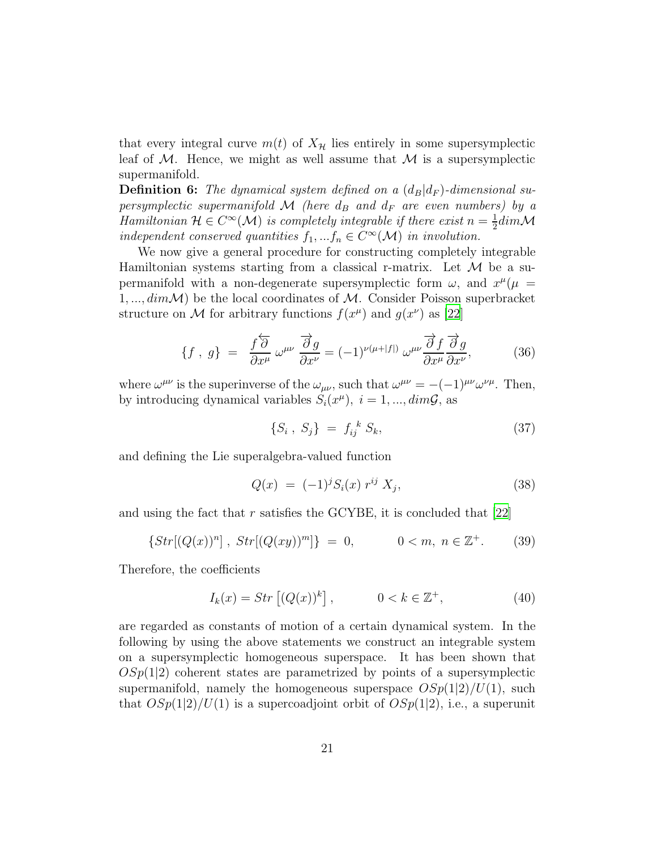that every integral curve  $m(t)$  of  $X_{\mathcal{H}}$  lies entirely in some supersymplectic leaf of  $M$ . Hence, we might as well assume that  $M$  is a supersymplectic supermanifold.

**Definition 6:** The dynamical system defined on a  $(d_B|d_F)$ -dimensional su*persymplectic supermanifold*  $M$  *(here*  $d_B$  *and*  $d_F$  *are even numbers)* by a *Hamiltonian*  $\mathcal{H} \in C^{\infty}(\mathcal{M})$  *is completely integrable if there exist*  $n = \frac{1}{2}$  $\frac{1}{2}$ dim $\mathcal{M}$ *independent conserved quantities*  $f_1, \ldots, f_n \in C^{\infty}(\mathcal{M})$  *in involution.* 

We now give a general procedure for constructing completely integrable Hamiltonian systems starting from a classical r-matrix. Let  $\mathcal M$  be a supermanifold with a non-degenerate supersymplectic form  $\omega$ , and  $x^{\mu}(\mu =$  $1, \ldots, dim \mathcal{M}$  be the local coordinates of M. Consider Poisson superbracket structure on M for arbitrary functions  $f(x^{\mu})$  and  $g(x^{\nu})$  as [\[22\]](#page-34-7)

<span id="page-20-0"></span>
$$
\{f \;,\; g\} \;=\; \; \frac{f \overleftarrow{\partial}}{\partial x^{\mu}} \; \omega^{\mu\nu} \; \frac{\overrightarrow{\partial} g}{\partial x^{\nu}} = (-1)^{\nu(\mu + |f|)} \; \omega^{\mu\nu} \frac{\overrightarrow{\partial} f}{\partial x^{\mu}} \frac{\overrightarrow{\partial} g}{\partial x^{\nu}},\tag{36}
$$

where  $\omega^{\mu\nu}$  is the superinverse of the  $\omega_{\mu\nu}$ , such that  $\omega^{\mu\nu} = -(-1)^{\mu\nu} \omega^{\nu\mu}$ . Then, by introducing dynamical variables  $S_i(x^{\mu}), i = 1, ..., dim\mathcal{G}$ , as

<span id="page-20-1"></span>
$$
\{S_i \; , \; S_j\} \; = \; f_{ij}^{\; k} \; S_k,\tag{37}
$$

and defining the Lie superalgebra-valued function

<span id="page-20-2"></span>
$$
Q(x) = (-1)^{j} S_{i}(x) r^{ij} X_{j}, \qquad (38)
$$

and using the fact that  $r$  satisfies the GCYBE, it is concluded that [\[22\]](#page-34-7)

$$
\{Str[(Q(x))^n], Str[(Q(xy))^m]\} = 0, \qquad 0 < m, n \in \mathbb{Z}^+.
$$
 (39)

Therefore, the coefficients

<span id="page-20-3"></span>
$$
I_k(x) = Str\left[ (Q(x))^k \right], \qquad 0 < k \in \mathbb{Z}^+, \tag{40}
$$

are regarded as constants of motion of a certain dynamical system. In the following by using the above statements we construct an integrable system on a supersymplectic homogeneous superspace. It has been shown that  $OSp(1|2)$  coherent states are parametrized by points of a supersymplectic supermanifold, namely the homogeneous superspace  $OSp(1|2)/U(1)$ , such that  $OSp(1|2)/U(1)$  is a supercoadjoint orbit of  $OSp(1|2)$ , i.e., a superunit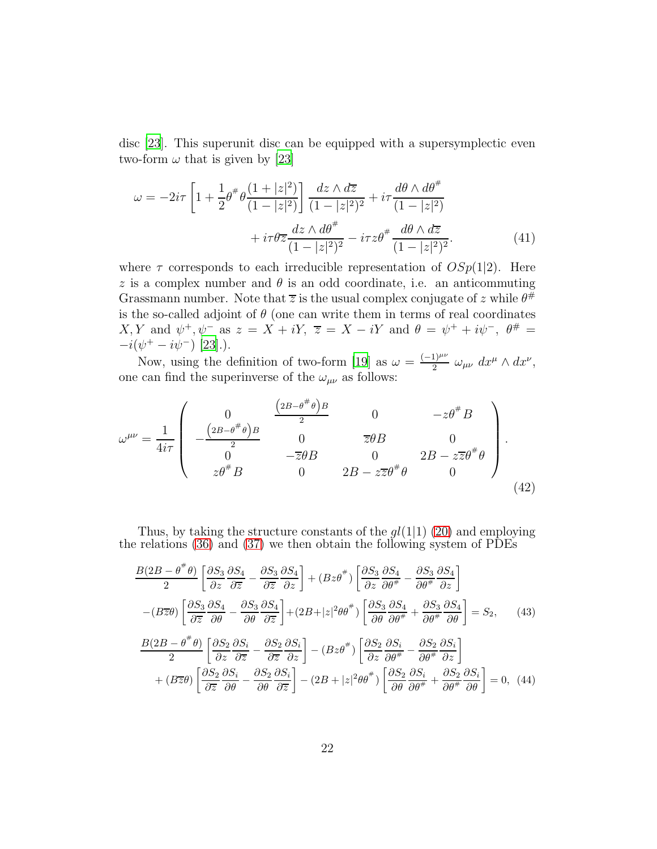disc [\[23\]](#page-34-8). This superunit disc can be equipped with a supersymplectic even two-form  $\omega$  that is given by [\[23](#page-34-8)]

$$
\omega = -2i\tau \left[ 1 + \frac{1}{2} \theta^{\#} \theta \frac{(1+|z|^2)}{(1-|z|^2)} \right] \frac{dz \wedge d\overline{z}}{(1-|z|^2)^2} + i\tau \frac{d\theta \wedge d\theta^{\#}}{(1-|z|^2)} + i\tau \theta \overline{z} \frac{dz \wedge d\theta^{\#}}{(1-|z|^2)^2} - i\tau z \theta^{\#} \frac{d\theta \wedge d\overline{z}}{(1-|z|^2)^2}.
$$
(41)

where  $\tau$  corresponds to each irreducible representation of  $OSp(1|2)$ . Here z is a complex number and  $\theta$  is an odd coordinate, i.e. an anticommuting Grassmann number. Note that  $\overline{z}$  is the usual complex conjugate of z while  $\theta^{\#}$ is the so-called adjoint of  $\theta$  (one can write them in terms of real coordinates  $X, Y$  and  $\psi^+, \psi^-$  as  $z = X + iY, \overline{z} = X - iY$  and  $\theta = \psi^+ + i\psi^-, \ \theta^{\#} =$  $-i(\psi^+ - i\psi^-)$  [\[23\]](#page-34-8).).

Now, using the definition of two-form [\[19\]](#page-34-4) as  $\omega = \frac{(-1)^{\mu\nu}}{2}$  $\frac{1}{2}^{\mu\nu} \omega_{\mu\nu} dx^{\mu} \wedge dx^{\nu},$ one can find the superinverse of the  $\omega_{\mu\nu}$  as follows:

$$
\omega^{\mu\nu} = \frac{1}{4i\tau} \begin{pmatrix} 0 & \frac{(2B - \theta^{\#}\theta)B}{2} & 0 & -z\theta^{\#}B \\ -\frac{(2B - \theta^{\#}\theta)B}{2} & 0 & \overline{z}\theta B & 0 \\ 0 & -\overline{z}\theta B & 0 & 2B - z\overline{z}\theta^{\#}\theta \\ z\theta^{\#}B & 0 & 2B - z\overline{z}\theta^{\#}\theta & 0 \end{pmatrix}.
$$
\n(42)

Thus, by taking the structure constants of the  $gl(1|1)$  [\(20\)](#page-7-0) and employing the relations [\(36\)](#page-20-0) and [\(37\)](#page-20-1) we then obtain the following system of PDEs

$$
\frac{B(2B - \theta^{\#}\theta)}{2} \left[ \frac{\partial S_3}{\partial z} \frac{\partial S_4}{\partial \overline{z}} - \frac{\partial S_3}{\partial z} \frac{\partial S_4}{\partial z} \right] + (Bz\theta^{\#}) \left[ \frac{\partial S_3}{\partial z} \frac{\partial S_4}{\partial \theta^{\#}} - \frac{\partial S_3}{\partial \theta^{\#}} \frac{\partial S_4}{\partial z} \right]
$$

$$
-(B\overline{z}\theta) \left[ \frac{\partial S_3}{\partial \overline{z}} \frac{\partial S_4}{\partial \theta} - \frac{\partial S_3}{\partial \theta} \frac{\partial S_4}{\partial \overline{z}} \right] + (2B + |z|^2 \theta \theta^{\#}) \left[ \frac{\partial S_3}{\partial \theta} \frac{\partial S_4}{\partial \theta^{\#}} + \frac{\partial S_3}{\partial \theta^{\#}} \frac{\partial S_4}{\partial \theta} \right] = S_2, \qquad (43)
$$

$$
\frac{B(2B - \theta^{\#}\theta)}{2} \left[ \frac{\partial S_2}{\partial z} \frac{\partial S_i}{\partial \overline{z}} - \frac{\partial S_2}{\partial \overline{z}} \frac{\partial S_i}{\partial z} \right] - (Bz\theta^{\#}) \left[ \frac{\partial S_2}{\partial z} \frac{\partial S_i}{\partial \theta^{\#}} - \frac{\partial S_2}{\partial \theta^{\#}} \frac{\partial S_i}{\partial z} \right]
$$

$$
+ (B\overline{z}\theta) \left[ \frac{\partial S_2}{\partial \overline{z}} \frac{\partial S_i}{\partial \theta} - \frac{\partial S_2}{\partial \theta} \frac{\partial S_i}{\partial \overline{z}} \right] - (2B + |z|^2 \theta \theta^{\#}) \left[ \frac{\partial S_2}{\partial \theta} \frac{\partial S_i}{\partial \theta^{\#}} + \frac{\partial S_2}{\partial \theta^{\#}} \frac{\partial S_i}{\partial \theta} \right] = 0, \quad (44)
$$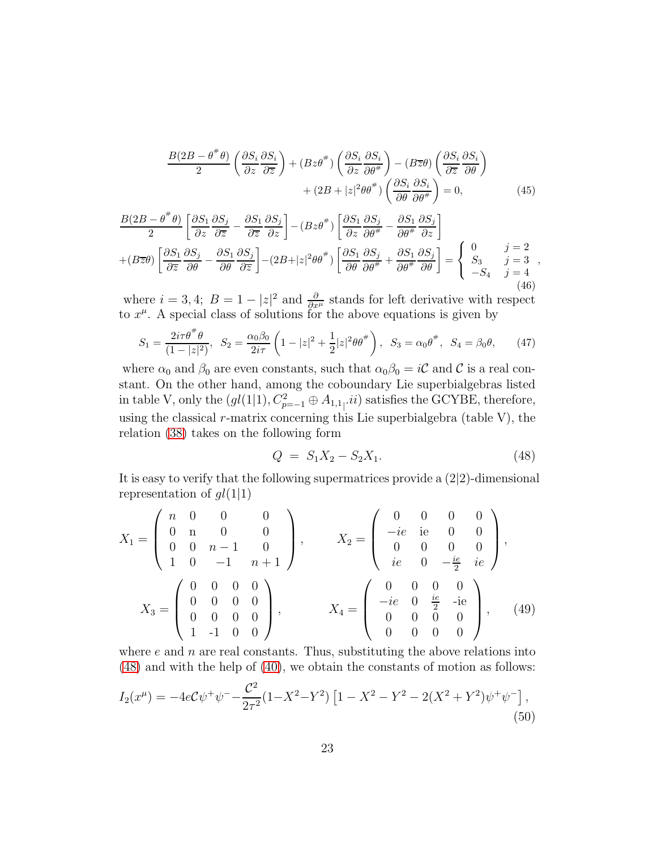$$
\frac{B(2B - \theta^{\#}\theta)}{2} \left(\frac{\partial S_i}{\partial z}\frac{\partial S_i}{\partial \overline{z}}\right) + (Bz\theta^{\#}) \left(\frac{\partial S_i}{\partial z}\frac{\partial S_i}{\partial \theta^{\#}}\right) - (B\overline{z}\theta) \left(\frac{\partial S_i}{\partial \overline{z}}\frac{\partial S_i}{\partial \theta}\right) + (2B + |z|^2\theta\theta^{\#}) \left(\frac{\partial S_i}{\partial \theta}\frac{\partial S_i}{\partial \theta^{\#}}\right) = 0, \tag{45}
$$

$$
\frac{B(2B - \theta^{\#}\theta)}{2} \left[ \frac{\partial S_1}{\partial z} \frac{\partial S_j}{\partial \overline{z}} - \frac{\partial S_1}{\partial \overline{z}} \frac{\partial S_j}{\partial z} \right] - (Bz\theta^{\#}) \left[ \frac{\partial S_1}{\partial z} \frac{\partial S_j}{\partial \theta^{\#}} - \frac{\partial S_1}{\partial \theta^{\#}} \frac{\partial S_j}{\partial z} \right] + (B\overline{z}\theta) \left[ \frac{\partial S_1}{\partial \overline{z}} \frac{\partial S_j}{\partial \theta} - \frac{\partial S_1}{\partial \theta} \frac{\partial S_j}{\partial \overline{z}} \right] - (2B + |z|^2 \theta \theta^{\#}) \left[ \frac{\partial S_1}{\partial \theta} \frac{\partial S_j}{\partial \theta^{\#}} + \frac{\partial S_1}{\partial \theta^{\#}} \frac{\partial S_j}{\partial \theta} \right] = \begin{cases} 0 & j = 2 \\ S_3 & j = 3 \\ -S_4 & j = 4 \end{cases},
$$
\n(46)

where  $i = 3, 4$ ;  $B = 1 - |z|^2$  and  $\frac{\partial}{\partial x^\mu}$  stands for left derivative with respect to  $x^{\mu}$ . A special class of solutions for the above equations is given by

$$
S_1 = \frac{2i\tau\theta^{\#}\theta}{(1-|z|^2)}, \quad S_2 = \frac{\alpha_0\beta_0}{2i\tau} \left(1-|z|^2 + \frac{1}{2}|z|^2\theta^{\#}\right), \quad S_3 = \alpha_0\theta^{\#}, \quad S_4 = \beta_0\theta,\tag{47}
$$

where  $\alpha_0$  and  $\beta_0$  are even constants, such that  $\alpha_0\beta_0 = i\mathcal{C}$  and  $\mathcal{C}$  is a real constant. On the other hand, among the coboundary Lie superbialgebras listed in table V, only the  $(gl(1|1), C_{p=-1}^2\oplus A_{1,1}$ , *ii*) satisfies the GCYBE, therefore, using the classical  $r$ -matrix concerning this Lie superbialgebra (table V), the relation [\(38\)](#page-20-2) takes on the following form

<span id="page-22-0"></span>
$$
Q = S_1 X_2 - S_2 X_1. \tag{48}
$$

It is easy to verify that the following supermatrices provide a (2|2)-dimensional representation of  $gl(1|1)$ 

$$
X_1 = \begin{pmatrix} n & 0 & 0 & 0 \\ 0 & n & 0 & 0 \\ 0 & 0 & n-1 & 0 \\ 1 & 0 & -1 & n+1 \end{pmatrix}, \qquad X_2 = \begin{pmatrix} 0 & 0 & 0 & 0 \\ -ie & ie & 0 & 0 \\ 0 & 0 & 0 & 0 \\ ie & 0 & -\frac{ie}{2} & ie \end{pmatrix},
$$

$$
X_3 = \begin{pmatrix} 0 & 0 & 0 & 0 \\ 0 & 0 & 0 & 0 \\ 0 & 0 & 0 & 0 \\ 1 & -1 & 0 & 0 \end{pmatrix}, \qquad X_4 = \begin{pmatrix} 0 & 0 & 0 & 0 \\ -ie & 0 & \frac{ie}{2} & -ie \\ 0 & 0 & 0 & 0 \\ 0 & 0 & 0 & 0 \end{pmatrix}, \qquad (49)
$$

where  $e$  and  $n$  are real constants. Thus, substituting the above relations into [\(48\)](#page-22-0) and with the help of [\(40\)](#page-20-3), we obtain the constants of motion as follows:

$$
I_2(x^{\mu}) = -4eC\psi^+\psi^- - \frac{C^2}{2\tau^2}(1-X^2-Y^2)\left[1-X^2-Y^2 - 2(X^2+Y^2)\psi^+\psi^-\right],\tag{50}
$$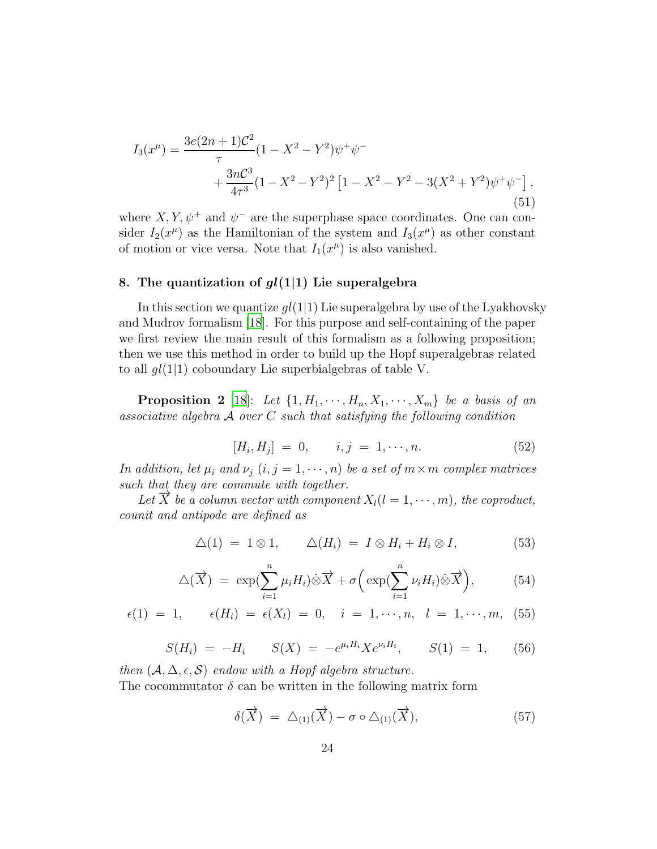$$
I_3(x^{\mu}) = \frac{3e(2n+1)\mathcal{C}^2}{\tau} (1 - X^2 - Y^2)\psi^+ \psi^- + \frac{3n\mathcal{C}^3}{4\tau^3} (1 - X^2 - Y^2)^2 \left[1 - X^2 - Y^2 - 3(X^2 + Y^2)\psi^+ \psi^- \right],\tag{51}
$$

where  $X, Y, \psi^+$  and  $\psi^-$  are the superphase space coordinates. One can consider  $I_2(x^{\mu})$  as the Hamiltonian of the system and  $I_3(x^{\mu})$  as other constant of motion or vice versa. Note that  $I_1(x^{\mu})$  is also vanished.

#### 8. The quantization of  $gl(1|1)$  Lie superalgebra

In this section we quantize  $gl(1|1)$  Lie superalgebra by use of the Lyakhovsky and Mudrov formalism [\[18](#page-34-3)]. For this purpose and self-containing of the paper we first review the main result of this formalism as a following proposition; then we use this method in order to build up the Hopf superalgebras related to all  $gl(1|1)$  coboundary Lie superbialgebras of table V.

**Proposition 2** [\[18\]](#page-34-3): Let  $\{1, H_1, \cdots, H_n, X_1, \cdots, X_m\}$  be a basis of an *associative algebra* A *over* C *such that satisfying the following condition*

$$
[H_i, H_j] = 0, \t i, j = 1, \cdots, n. \t (52)
$$

*In addition, let*  $\mu_i$  *and*  $\nu_j$   $(i, j = 1, \dots, n)$  *be a set of*  $m \times m$  *complex matrices such that they are commute with together.*

*Let*  $\overrightarrow{X}$  *be a column vector with component*  $X_l(l = 1, \dots, m)$ *, the coproduct, counit and antipode are defined as*

$$
\Delta(1) = 1 \otimes 1, \qquad \Delta(H_i) = I \otimes H_i + H_i \otimes I,\tag{53}
$$

<span id="page-23-0"></span>
$$
\Delta(\overrightarrow{X}) = \exp(\sum_{i=1}^{n} \mu_i H_i) \dot{\otimes} \overrightarrow{X} + \sigma\left(\exp(\sum_{i=1}^{n} \nu_i H_i) \dot{\otimes} \overrightarrow{X}\right), \tag{54}
$$

$$
\epsilon(1) = 1, \qquad \epsilon(H_i) = \epsilon(X_l) = 0, \quad i = 1, \cdots, n, \quad l = 1, \cdots, m, \tag{55}
$$

$$
S(H_i) = -H_i \t S(X) = -e^{\mu_i H_i} X e^{\nu_i H_i}, \t S(1) = 1, \t (56)
$$

*then*  $(A, \Delta, \epsilon, \mathcal{S})$  *endow with a Hopf algebra structure.* The cocommutator  $\delta$  can be written in the following matrix form

<span id="page-23-1"></span>
$$
\delta(\overrightarrow{X}) = \Delta_{(1)}(\overrightarrow{X}) - \sigma \circ \Delta_{(1)}(\overrightarrow{X}), \qquad (57)
$$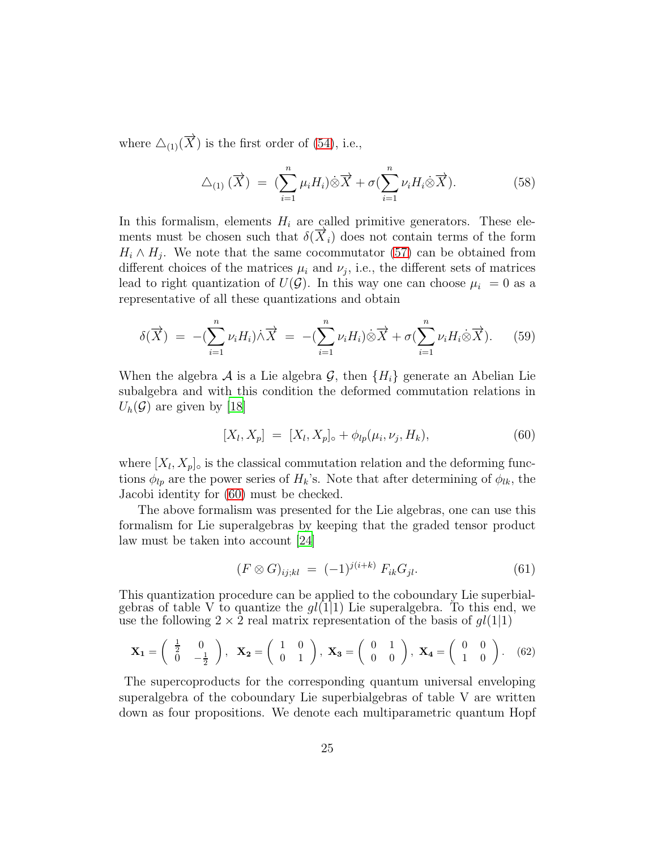where  $\Delta_{(1)}(\overrightarrow{X})$  is the first order of [\(54\)](#page-23-0), i.e.,

$$
\Delta_{(1)}(\overrightarrow{X}) = (\sum_{i=1}^{n} \mu_i H_i) \hat{\otimes} \overrightarrow{X} + \sigma (\sum_{i=1}^{n} \nu_i H_i \hat{\otimes} \overrightarrow{X}). \tag{58}
$$

In this formalism, elements  $H_i$  are called primitive generators. These elements must be chosen such that  $\delta(\overrightarrow{X}_i)$  does not contain terms of the form  $H_i \wedge H_j$ . We note that the same cocommutator [\(57\)](#page-23-1) can be obtained from different choices of the matrices  $\mu_i$  and  $\nu_j$ , i.e., the different sets of matrices lead to right quantization of  $U(\mathcal{G})$ . In this way one can choose  $\mu_i = 0$  as a representative of all these quantizations and obtain

$$
\delta(\overrightarrow{X}) = -(\sum_{i=1}^{n} \nu_i H_i) \dot{\wedge} \overrightarrow{X} = -(\sum_{i=1}^{n} \nu_i H_i) \dot{\otimes} \overrightarrow{X} + \sigma(\sum_{i=1}^{n} \nu_i H_i \dot{\otimes} \overrightarrow{X}). \tag{59}
$$

When the algebra A is a Lie algebra G, then  $\{H_i\}$  generate an Abelian Lie subalgebra and with this condition the deformed commutation relations in  $U_h(\mathcal{G})$  are given by [\[18](#page-34-3)]

<span id="page-24-0"></span>
$$
[X_l, X_p] = [X_l, X_p]_{\circ} + \phi_{lp}(\mu_i, \nu_j, H_k), \tag{60}
$$

where  $[X_l, X_p]$ <sub>o</sub> is the classical commutation relation and the deforming functions  $\phi_{lp}$  are the power series of  $H_k$ 's. Note that after determining of  $\phi_{lk}$ , the Jacobi identity for [\(60\)](#page-24-0) must be checked.

The above formalism was presented for the Lie algebras, one can use this formalism for Lie superalgebras by keeping that the graded tensor product law must be taken into account [\[24\]](#page-34-9)

<span id="page-24-1"></span>
$$
(F \otimes G)_{ij;kl} = (-1)^{j(i+k)} F_{ik} G_{jl}. \tag{61}
$$

This quantization procedure can be applied to the coboundary Lie superbialgebras of table V to quantize the  $gl(1|1)$  Lie superalgebra. To this end, we use the following  $2 \times 2$  real matrix representation of the basis of  $gl(1|1)$ 

<span id="page-24-2"></span>
$$
\mathbf{X}_1 = \begin{pmatrix} \frac{1}{2} & 0 \\ 0 & -\frac{1}{2} \end{pmatrix}, \quad \mathbf{X}_2 = \begin{pmatrix} 1 & 0 \\ 0 & 1 \end{pmatrix}, \quad \mathbf{X}_3 = \begin{pmatrix} 0 & 1 \\ 0 & 0 \end{pmatrix}, \quad \mathbf{X}_4 = \begin{pmatrix} 0 & 0 \\ 1 & 0 \end{pmatrix}. \tag{62}
$$

The supercoproducts for the corresponding quantum universal enveloping superalgebra of the coboundary Lie superbialgebras of table V are written down as four propositions. We denote each multiparametric quantum Hopf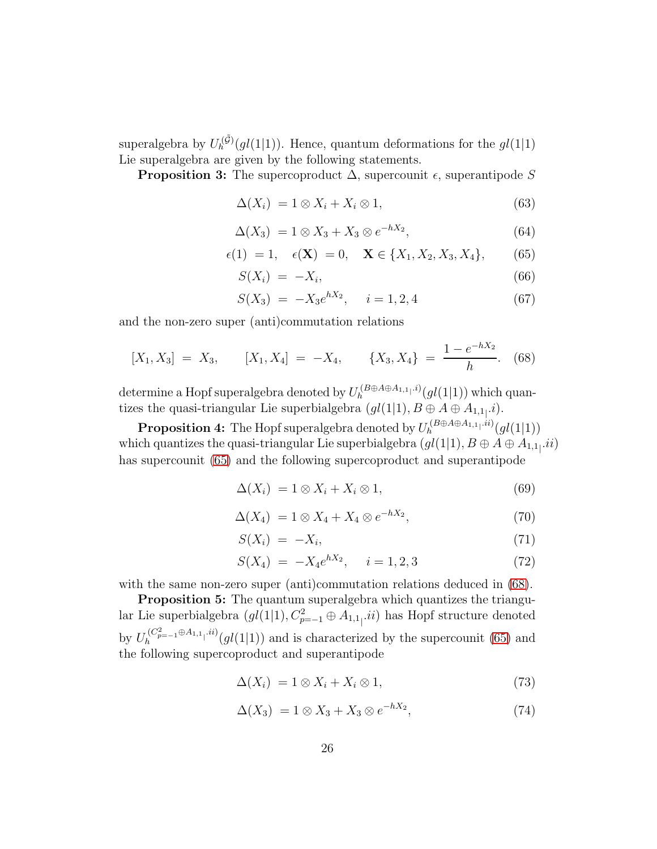superalgebra by  $U_h^{(\tilde{\mathcal{G}})}(gl(1|1))$ . Hence, quantum deformations for the  $gl(1|1)$ Lie superalgebra are given by the following statements.

**Proposition 3:** The supercoproduct  $\Delta$ , supercounit  $\epsilon$ , superantipode S

$$
\Delta(X_i) = 1 \otimes X_i + X_i \otimes 1,\tag{63}
$$

$$
\Delta(X_3) = 1 \otimes X_3 + X_3 \otimes e^{-hX_2}, \tag{64}
$$

<span id="page-25-0"></span>
$$
\epsilon(1) = 1, \quad \epsilon(\mathbf{X}) = 0, \quad \mathbf{X} \in \{X_1, X_2, X_3, X_4\}, \tag{65}
$$

$$
S(X_i) = -X_i,\tag{66}
$$

$$
S(X_3) = -X_3 e^{hX_2}, \quad i = 1, 2, 4 \tag{67}
$$

and the non-zero super (anti)commutation relations

<span id="page-25-1"></span>
$$
[X_1, X_3] = X_3, \qquad [X_1, X_4] = -X_4, \qquad \{X_3, X_4\} = \frac{1 - e^{-hX_2}}{h}.
$$
 (68)

determine a Hopf superalgebra denoted by  $U_h^{(B \oplus A \oplus A_{1,1}|,i)}(gl(1|1))$  which quantizes the quasi-triangular Lie superbialgebra  $(gl(1|1), B \oplus A \oplus A_{1,1}].i$ .

**Proposition 4:** The Hopf superalgebra denoted by  $U_h^{(B \oplus A \oplus A_{1,1} \ldots i)}(gl(1|1))$ which quantizes the quasi-triangular Lie superbialgebra  $(gl(1|1),B\oplus A\oplus A_{1,1]}.ii)$ has supercounit [\(65\)](#page-25-0) and the following supercoproduct and superantipode

$$
\Delta(X_i) = 1 \otimes X_i + X_i \otimes 1,\tag{69}
$$

$$
\Delta(X_4) = 1 \otimes X_4 + X_4 \otimes e^{-hX_2},\tag{70}
$$

$$
S(X_i) = -X_i,\tag{71}
$$

$$
S(X_4) = -X_4 e^{hX_2}, \quad i = 1, 2, 3 \tag{72}
$$

with the same non-zero super (anti)commutation relations deduced in  $(68)$ .

**Proposition 5:** The quantum superalgebra which quantizes the triangular Lie superbialgebra  $(gl(1|1), C^2_{p=-1} \oplus A_{1,1}$ , *ii*) has Hopf structure denoted by  $U_h^{(C_{p=-1}^2 \oplus A_{1,1} \cdots B)}(gl(1|1))$  and is characterized by the supercounit [\(65\)](#page-25-0) and the following supercoproduct and superantipode

$$
\Delta(X_i) = 1 \otimes X_i + X_i \otimes 1,\tag{73}
$$

$$
\Delta(X_3) = 1 \otimes X_3 + X_3 \otimes e^{-hX_2},\tag{74}
$$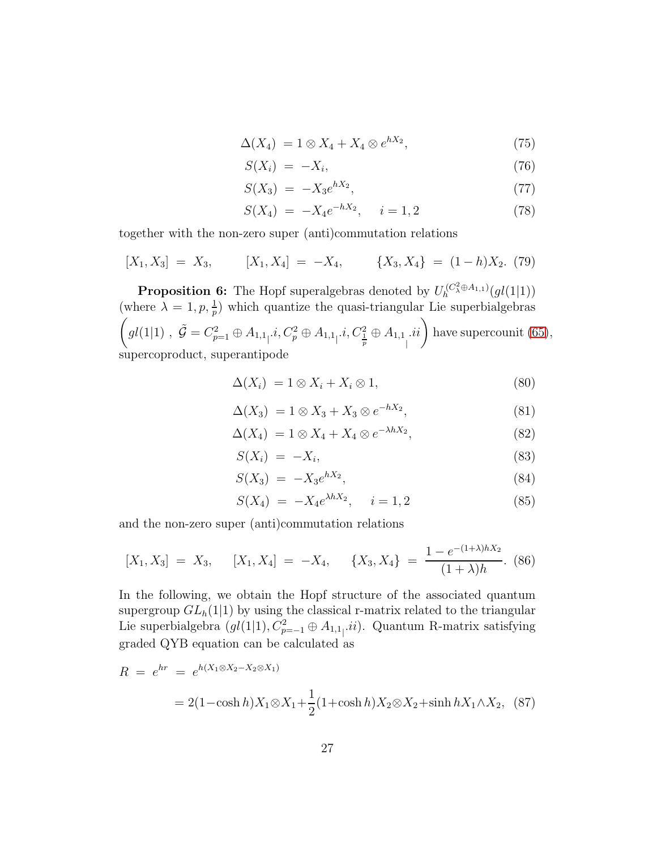$$
\Delta(X_4) = 1 \otimes X_4 + X_4 \otimes e^{hX_2},\tag{75}
$$

$$
S(X_i) = -X_i,\t\t(76)
$$

$$
S(X_3) = -X_3 e^{hX_2}, \t\t(77)
$$

$$
S(X_4) = -X_4 e^{-hX_2}, \quad i = 1, 2
$$
\n(78)

together with the non-zero super (anti)commutation relations

$$
[X_1, X_3] = X_3, \qquad [X_1, X_4] = -X_4, \qquad \{X_3, X_4\} = (1-h)X_2. \tag{79}
$$

**Proposition 6:** The Hopf superalgebras denoted by  $U_h^{(C^2_{\lambda} \oplus A_{1,1})}(gl(1|1))$ (where  $\lambda = 1, p, \frac{1}{p}$ ) which quantize the quasi-triangular Lie superbialgebras  $\left(gl(1|1)\;,\; \tilde{\mathcal{G}}=C_{p=1}^2\oplus A_{1,1}\dotsc C_p^2\oplus A_{1,1}\dotsc C_{\frac{1}{p}}^2\oplus A_{1,1}\right]$  $ii$  have supercounit [\(65\)](#page-25-0), supercoproduct, superantipode

$$
\Delta(X_i) = 1 \otimes X_i + X_i \otimes 1,\tag{80}
$$

$$
\Delta(X_3) = 1 \otimes X_3 + X_3 \otimes e^{-hX_2}, \tag{81}
$$

$$
\Delta(X_4) = 1 \otimes X_4 + X_4 \otimes e^{-\lambda h X_2}, \tag{82}
$$

$$
S(X_i) = -X_i,\tag{83}
$$

$$
S(X_3) = -X_3 e^{hX_2}, \t\t(84)
$$

$$
S(X_4) = -X_4 e^{\lambda h X_2}, \quad i = 1, 2 \tag{85}
$$

and the non-zero super (anti)commutation relations

$$
[X_1, X_3] = X_3, \quad [X_1, X_4] = -X_4, \quad \{X_3, X_4\} = \frac{1 - e^{-(1 + \lambda)hX_2}}{(1 + \lambda)h}.
$$
 (86)

In the following, we obtain the Hopf structure of the associated quantum supergroup  $GL<sub>h</sub>(1|1)$  by using the classical r-matrix related to the triangular Lie superbialgebra  $(gl(1|1), C_{p=-1}^2 \oplus A_{1,1}$ <sub>1</sub>*ii*). Quantum R-matrix satisfying graded QYB equation can be calculated as

$$
R = e^{hr} = e^{h(X_1 \otimes X_2 - X_2 \otimes X_1)}
$$
  
= 2(1 - cosh h)X<sub>1</sub>  $\otimes$  X<sub>1</sub> +  $\frac{1}{2}$ (1 + cosh h)X<sub>2</sub>  $\otimes$  X<sub>2</sub> + sinh hX<sub>1</sub>  $\wedge$  X<sub>2</sub>, (87)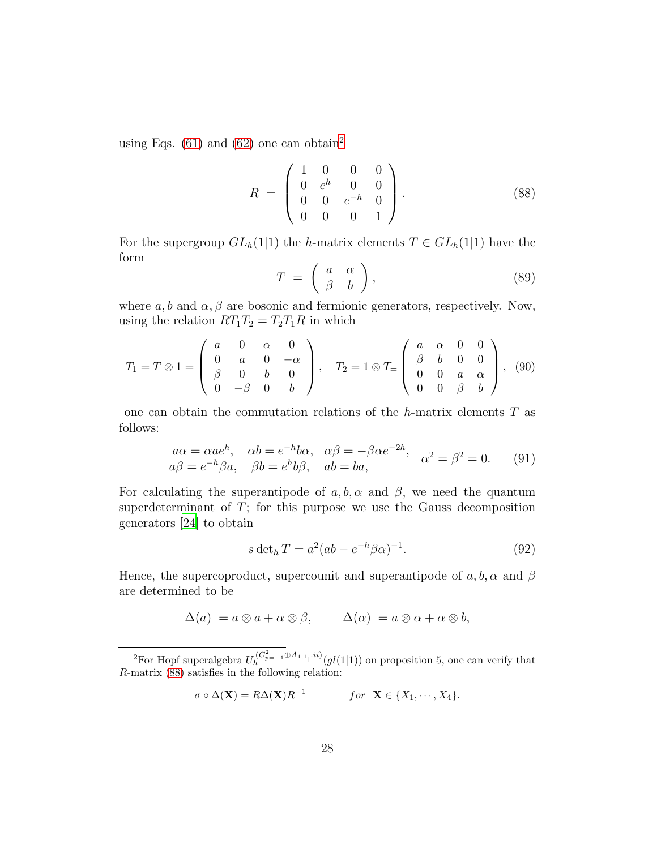using Eqs.  $(61)$  and  $(62)$  $(62)$  $(62)$  one can obtain<sup>2</sup>

<span id="page-27-1"></span>
$$
R = \begin{pmatrix} 1 & 0 & 0 & 0 \\ 0 & e^h & 0 & 0 \\ 0 & 0 & e^{-h} & 0 \\ 0 & 0 & 0 & 1 \end{pmatrix}.
$$
 (88)

For the supergroup  $GL_h(1|1)$  the h-matrix elements  $T \in GL_h(1|1)$  have the form

$$
T = \left(\begin{array}{cc} a & \alpha \\ \beta & b \end{array}\right),\tag{89}
$$

where  $a, b$  and  $\alpha, \beta$  are bosonic and fermionic generators, respectively. Now, using the relation  $RT_1T_2 = T_2T_1R$  in which

$$
T_1 = T \otimes 1 = \begin{pmatrix} a & 0 & \alpha & 0 \\ 0 & a & 0 & -\alpha \\ \beta & 0 & b & 0 \\ 0 & -\beta & 0 & b \end{pmatrix}, \quad T_2 = 1 \otimes T = \begin{pmatrix} a & \alpha & 0 & 0 \\ \beta & b & 0 & 0 \\ 0 & 0 & a & \alpha \\ 0 & 0 & \beta & b \end{pmatrix}, \tag{90}
$$

one can obtain the commutation relations of the  $h$ -matrix elements  $T$  as follows:

$$
a\alpha = \alpha a e^h, \quad \alpha b = e^{-h} b \alpha, \quad \alpha \beta = -\beta \alpha e^{-2h}, \quad \alpha^2 = \beta^2 = 0. \tag{91}
$$
  

$$
a\beta = e^{-h} \beta a, \quad \beta b = e^h b \beta, \quad ab = ba,
$$

For calculating the superantipode of  $a, b, \alpha$  and  $\beta$ , we need the quantum superdeterminant of  $T$ ; for this purpose we use the Gauss decomposition generators [\[24\]](#page-34-9) to obtain

$$
s \det_h T = a^2 (ab - e^{-h} \beta \alpha)^{-1}.
$$
\n(92)

Hence, the supercoproduct, supercounit and superantipode of  $a, b, \alpha$  and  $\beta$ are determined to be

$$
\Delta(a) = a \otimes a + \alpha \otimes \beta, \qquad \Delta(\alpha) = a \otimes \alpha + \alpha \otimes b,
$$

$$
\sigma \circ \Delta(\mathbf{X}) = R\Delta(\mathbf{X})R^{-1} \qquad \text{for } \mathbf{X} \in \{X_1, \cdots, X_4\}.
$$

<span id="page-27-0"></span><sup>&</sup>lt;sup>2</sup>For Hopf superalgebra  $U_h^{(C^2_{p=-1} \oplus A_{1,1} \oplus B_{1,1})}(gl(1|1))$  on proposition 5, one can verify that R-matrix [\(88\)](#page-27-1) satisfies in the following relation: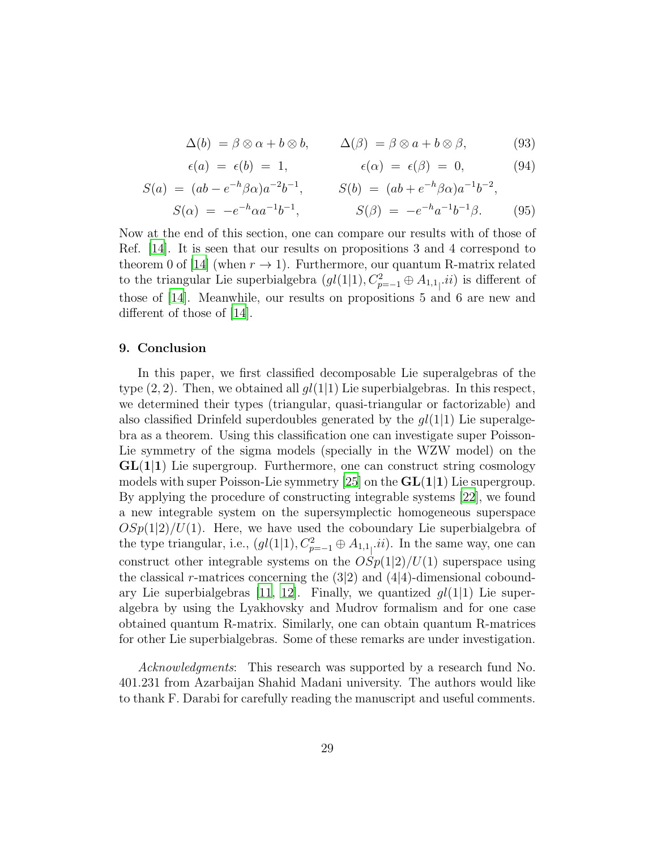$$
\Delta(b) = \beta \otimes \alpha + b \otimes b, \qquad \Delta(\beta) = \beta \otimes a + b \otimes \beta, \tag{93}
$$

$$
\epsilon(a) = \epsilon(b) = 1, \qquad \epsilon(\alpha) = \epsilon(\beta) = 0, \qquad (94)
$$

$$
S(a) = (ab - e^{-h}\beta\alpha)a^{-2}b^{-1}, \qquad S(b) = (ab + e^{-h}\beta\alpha)a^{-1}b^{-2},
$$
  

$$
S(\alpha) = -e^{-h}\alpha a^{-1}b^{-1}, \qquad S(\beta) = -e^{-h}a^{-1}b^{-1}\beta.
$$
 (95)

Now at the end of this section, one can compare our results with of those of Ref. [\[14](#page-33-11)]. It is seen that our results on propositions 3 and 4 correspond to theorem 0 of [\[14](#page-33-11)] (when  $r \to 1$ ). Furthermore, our quantum R-matrix related to the triangular Lie superbialgebra  $(gl(1|1), C_{p=-1}^2 \oplus A_{1,1}$ , *ii*) is different of those of [\[14](#page-33-11)]. Meanwhile, our results on propositions 5 and 6 are new and different of those of [\[14](#page-33-11)].

#### 9. Conclusion

In this paper, we first classified decomposable Lie superalgebras of the type  $(2, 2)$ . Then, we obtained all  $gl(1|1)$  Lie superbialgebras. In this respect, we determined their types (triangular, quasi-triangular or factorizable) and also classified Drinfeld superdoubles generated by the  $gl(1|1)$  Lie superalgebra as a theorem. Using this classification one can investigate super Poisson-Lie symmetry of the sigma models (specially in the WZW model) on the  $GL(1|1)$  Lie supergroup. Furthermore, one can construct string cosmology models with super Poisson-Lie symmetry [\[25\]](#page-34-10) on the  $GL(1|1)$  Lie supergroup. By applying the procedure of constructing integrable systems [\[22](#page-34-7)], we found a new integrable system on the supersymplectic homogeneous superspace  $OSp(1|2)/U(1)$ . Here, we have used the coboundary Lie superbialgebra of the type triangular, i.e.,  $(gl(1|1), C_{p=-1}^2 \oplus A_{1,1}$ , *ii*). In the same way, one can construct other integrable systems on the  $OSp(1|2)/U(1)$  superspace using the classical r-matrices concerning the  $(3|2)$  and  $(4|4)$ -dimensional cobound-ary Lie superbialgebras [\[11](#page-33-8), [12\]](#page-33-9). Finally, we quantized  $gl(1|1)$  Lie superalgebra by using the Lyakhovsky and Mudrov formalism and for one case obtained quantum R-matrix. Similarly, one can obtain quantum R-matrices for other Lie superbialgebras. Some of these remarks are under investigation.

*Acknowledgments*: This research was supported by a research fund No. 401.231 from Azarbaijan Shahid Madani university. The authors would like to thank F. Darabi for carefully reading the manuscript and useful comments.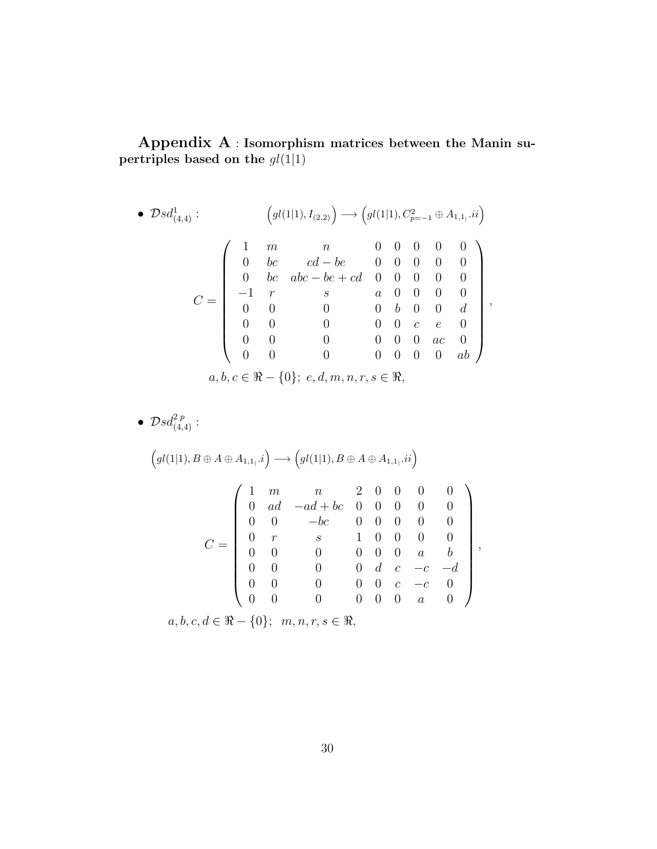Appendix A : Isomorphism matrices between the Manin supertriples based on the  $gl(1|1)$ 

• 
$$
\mathcal{D}sd_{(4,4)}^1
$$
:  
\n
$$
Q = \begin{pmatrix}\n1 & m & n & 0 & 0 & 0 & 0 & 0 \\
0 & bc & cd - be & 0 & 0 & 0 & 0 & 0 \\
0 & bc & abc - be + cd & 0 & 0 & 0 & 0 & 0 \\
0 & 0 & 0 & 0 & 0 & 0 & 0 & 0 \\
0 & 0 & 0 & 0 & 0 & 0 & 0 & 0 \\
0 & 0 & 0 & 0 & 0 & 0 & 0 & 0 \\
0 & 0 & 0 & 0 & 0 & 0 & 0 & 0 \\
0 & 0 & 0 & 0 & 0 & 0 & 0 & 0 \\
0 & 0 & 0 & 0 & 0 & 0 & 0 & 0 \\
0 & 0 & 0 & 0 & 0 & 0 & 0 & 0\n\end{pmatrix},
$$
\n
$$
a, b, c \in \Re - \{0\}; e, d, m, n, r, s \in \Re,
$$

$$
\bullet \ \mathcal{D}sd_{(4,4)}^{2\,p}:
$$

$$
\left(gl(1|1), B \oplus A \oplus A_{1,1_{1}}.i\right) \longrightarrow \left(gl(1|1), B \oplus A \oplus A_{1,1_{1}}.ii\right)
$$
\n
$$
C = \left(\begin{array}{ccccccccc}\n1 & m & n & 2 & 0 & 0 & 0 & 0 \\
0 & ad & -ad + bc & 0 & 0 & 0 & 0 & 0 \\
0 & 0 & -bc & 0 & 0 & 0 & 0 & 0 \\
0 & r & s & 1 & 0 & 0 & 0 & 0 \\
0 & 0 & 0 & 0 & 0 & 0 & a & b \\
0 & 0 & 0 & 0 & 0 & c & -c & -d \\
0 & 0 & 0 & 0 & 0 & 0 & a & 0\n\end{array}\right),
$$

 $a, b, c, d \in \Re$  - {0};  $m, n, r, s \in \Re$ ,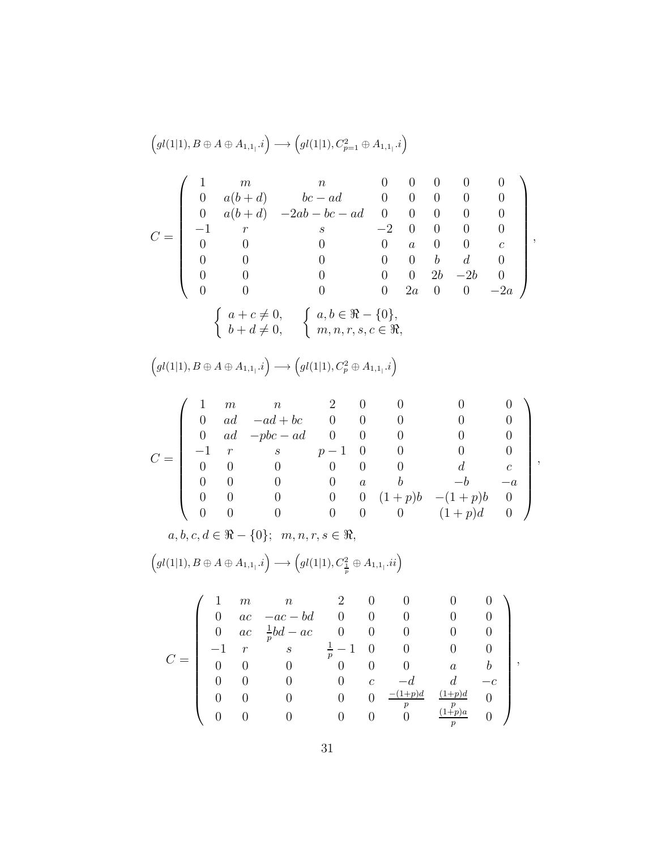$$
\left(gl(1|1), B \oplus A \oplus A_{1,1}.\,i\right) \longrightarrow \left(gl(1|1), C_{p=1}^{2} \oplus A_{1,1}.\,i\right)
$$
\n
$$
C = \left(\begin{array}{ccccc} 1 & m & n & 0 & 0 & 0 & 0 & 0 \\ 0 & a(b+d) & bc-ad & 0 & 0 & 0 & 0 & 0 \\ 0 & a(b+d) & -2ab-bc-ad & 0 & 0 & 0 & 0 & 0 \\ -1 & r & s & -2 & 0 & 0 & 0 & 0 & 0 \\ 0 & 0 & 0 & 0 & 0 & a & 0 & 0 & c \\ 0 & 0 & 0 & 0 & 0 & 0 & b & d & 0 \\ 0 & 0 & 0 & 0 & 0 & 2b & -2b & 0 \\ 0 & 0 & 0 & 0 & 0 & 2a & 0 & 0 & -2a \end{array}\right),
$$
\n
$$
\left\{\begin{array}{ccc} a+c \neq 0, & a,b \in \Re - \{0\}, & a,b \in \Re - \{0\}, & a,b \in \Re - \{0\}, & b+d \neq 0, & m, r, s, c \in \Re, \\ m, n, r, s, c \in \Re, & m \end{array}\right\}
$$

 $igl(1|1), B \oplus A \oplus A_{1,1} \ldotp i) \longrightarrow \biggl( gl(1|1), C_p^2 \oplus A_{1,1} \ldotp i \biggr)$ 

$$
C = \begin{pmatrix} 1 & m & n & 2 & 0 & 0 & 0 & 0 \\ 0 & ad & -ad + bc & 0 & 0 & 0 & 0 & 0 \\ 0 & ad & -pbc - ad & 0 & 0 & 0 & 0 & 0 \\ -1 & r & s & p-1 & 0 & 0 & 0 & 0 \\ 0 & 0 & 0 & 0 & 0 & 0 & d & c \\ 0 & 0 & 0 & 0 & 0 & 0 & (1+p)b & -b & -a \\ 0 & 0 & 0 & 0 & 0 & 0 & (1+p)b & 0 \\ 0 & 0 & 0 & 0 & 0 & 0 & (1+p)d & 0 \end{pmatrix},
$$
  

$$
a, b, c, d \in \Re - \{0\}; \ m, n, r, s \in \Re,
$$

$$
\Big(gl(1|1),B\oplus A\oplus A_{1,1_{\vert}}.i\Big)\longrightarrow \Big(gl(1|1),C^2_{\frac{1}{p}}\oplus A_{1,1_{\vert}}.ii\Big)
$$

$$
C = \left(\begin{array}{cccccc} 1 & m & n & 2 & 0 & 0 & 0 & 0 \\ 0 & ac & -ac - bd & 0 & 0 & 0 & 0 & 0 \\ 0 & ac & \frac{1}{p}bd - ac & 0 & 0 & 0 & 0 & 0 \\ -1 & r & s & \frac{1}{p} - 1 & 0 & 0 & 0 & 0 \\ 0 & 0 & 0 & 0 & 0 & 0 & a & b \\ 0 & 0 & 0 & 0 & 0 & c & -d & d & -c \\ 0 & 0 & 0 & 0 & 0 & 0 & \frac{-(1+p)d}{p} & \frac{(1+p)d}{p} & 0 \\ 0 & 0 & 0 & 0 & 0 & 0 & \frac{(1+p)a}{p} & 0 \end{array}\right),
$$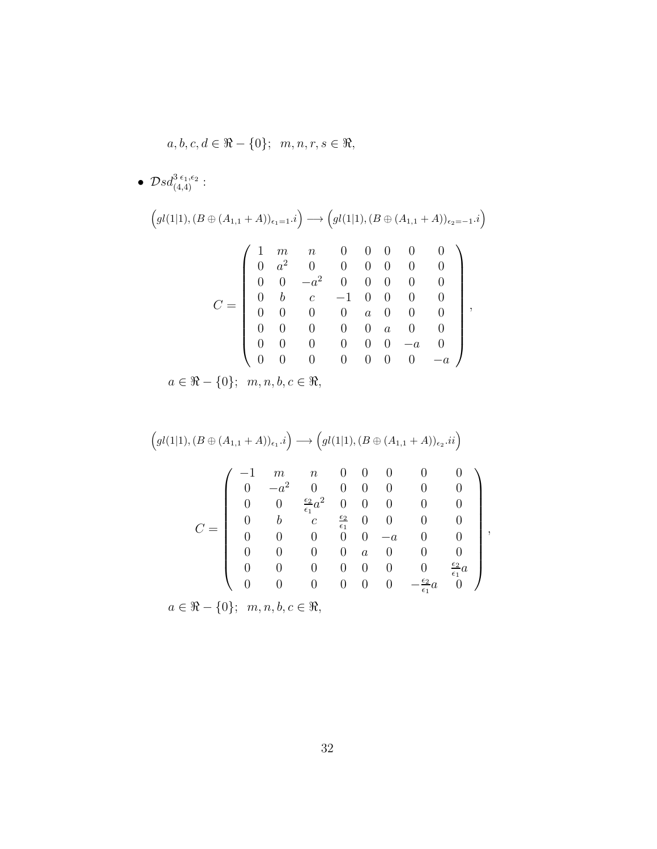$$
a, b, c, d \in \mathbb{R} - \{0\}; \ \ m, n, r, s \in \mathbb{R},
$$

•  $\mathcal{D}sd_{(4,4)}^{3\epsilon_1,\epsilon_2}$  :

 gl(1|1),(<sup>B</sup> <sup>⊕</sup> (A1,<sup>1</sup> <sup>+</sup> <sup>A</sup>))ǫ1=1.i −→ gl(1|1),(<sup>B</sup> <sup>⊕</sup> (A1,<sup>1</sup> <sup>+</sup> <sup>A</sup>))ǫ2=−<sup>1</sup>.i C = 1 m n 0 0 0 0 0 0 a <sup>2</sup> 0 0 0 0 0 0 0 0 −a <sup>2</sup> 0 0 0 0 0 0 b c −1 0 0 0 0 0 0 0 0 a 0 0 0 0 0 0 0 0 a 0 0 0 0 0 0 0 0 −a 0 0 0 0 0 0 0 0 −a ,

 $a\in \Re-\{0\}; \;\; m,n,b,c\in \Re,$ 

$$
\left(gl(1|1),(B\oplus (A_{1,1}+A))_{\epsilon_{1}}.i\right)\longrightarrow\left(gl(1|1),(B\oplus (A_{1,1}+A))_{\epsilon_{2}}.ii\right)
$$
\n
$$
C=\left(\begin{array}{ccccccccc} -1&m&n&0&0&0&0&0\\ 0&-a^{2}&0&0&0&0&0&0\\ 0&0&\frac{\epsilon_{2}}{\epsilon_{1}}a^{2}&0&0&0&0&0\\ 0&b&c&\frac{\epsilon_{2}}{\epsilon_{1}}&0&0&0&0\\ 0&0&0&0&-a&0&0&0\\ 0&0&0&0&a&0&0&0\\ 0&0&0&0&0&0&\frac{\epsilon_{2}}{\epsilon_{1}}a&0 \end{array}\right),
$$

 $a \in \Re -\{0\}; m, n, b, c \in \Re,$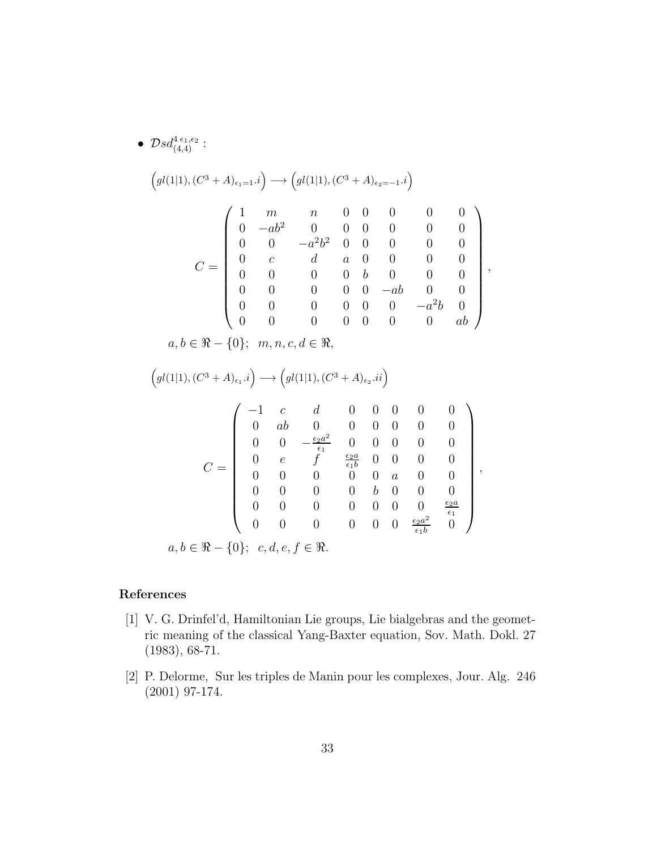• 
$$
Dsd_{(4,4)}^{4\epsilon_{1},\epsilon_{2}}:
$$
\n
$$
\left( gl(1|1), (C^{3} + A)_{\epsilon_{1}=1} \cdot i \right) \longrightarrow \left( gl(1|1), (C^{3} + A)_{\epsilon_{2}=-1} \cdot i \right)
$$
\n
$$
C = \begin{pmatrix}\n1 & m & n & 0 & 0 & 0 & 0 & 0 \\
0 & -ab^{2} & 0 & 0 & 0 & 0 & 0 & 0 \\
0 & 0 & -a^{2}b^{2} & 0 & 0 & 0 & 0 & 0 \\
0 & c & d & a & 0 & 0 & 0 & 0 \\
0 & 0 & 0 & 0 & b & 0 & 0 & 0 \\
0 & 0 & 0 & 0 & 0 & -ab & 0 & 0 \\
0 & 0 & 0 & 0 & 0 & 0 & -a^{2}b & 0 \\
0 & 0 & 0 & 0 & 0 & 0 & 0 & ab\n\end{pmatrix},
$$
\n
$$
a, b \in \mathfrak{R} - \{0\}; \ m, n, c, d \in \mathfrak{R},
$$
\n
$$
\left( gl(1|1), (C^{3} + A)_{\epsilon_{1}} \cdot i \right) \longrightarrow \left( gl(1|1), (C^{3} + A)_{\epsilon_{2}} \cdot ii \right)
$$
\n
$$
C = \begin{pmatrix}\n-1 & c & d & 0 & 0 & 0 & 0 & 0 \\
0 & ab & 0 & 0 & 0 & 0 & 0 & 0 \\
0 & ab & 0 & 0 & 0 & 0 & 0 & 0 \\
0 & 0 & -\frac{c_{2}a^{2}}{\epsilon_{1}} & 0 & 0 & 0 & 0 & 0 \\
0 & 0 & 0 & 0 & 0 & 0 & 0 & 0 \\
0 & 0 & 0 & 0 & 0 & 0 & 0 & \frac{\epsilon_{2}a}{\epsilon_{1}} \\
0 & 0 & 0 & 0 & 0 & 0 & 0 & \frac{\epsilon_{2}a}{\epsilon_{1}} \\
0 & 0 & 0 & 0 & 0 & 0 & 0 & \frac{\epsilon_{2}a}{\epsilon_{1}} \\
0 & 0 & 0 & 0 & 0 & 0 & 0 & \frac{\epsilon_{2}a}{\epsilon_{1}} \\
0 & 0 & 0 & 0 & 0 & 0 & \frac{\epsilon_{2}a}{\epsilon_{1}} \\
0 & 0 & 0 & 0 & 0 & 0 & \
$$

# References

- <span id="page-32-0"></span>[1] V. G. Drinfel'd, Hamiltonian Lie groups, Lie bialgebras and the geometric meaning of the classical Yang-Baxter equation, Sov. Math. Dokl. 27 (1983), 68-71.
- <span id="page-32-1"></span>[2] P. Delorme, Sur les triples de Manin pour les complexes, Jour. Alg. 246 (2001) 97-174.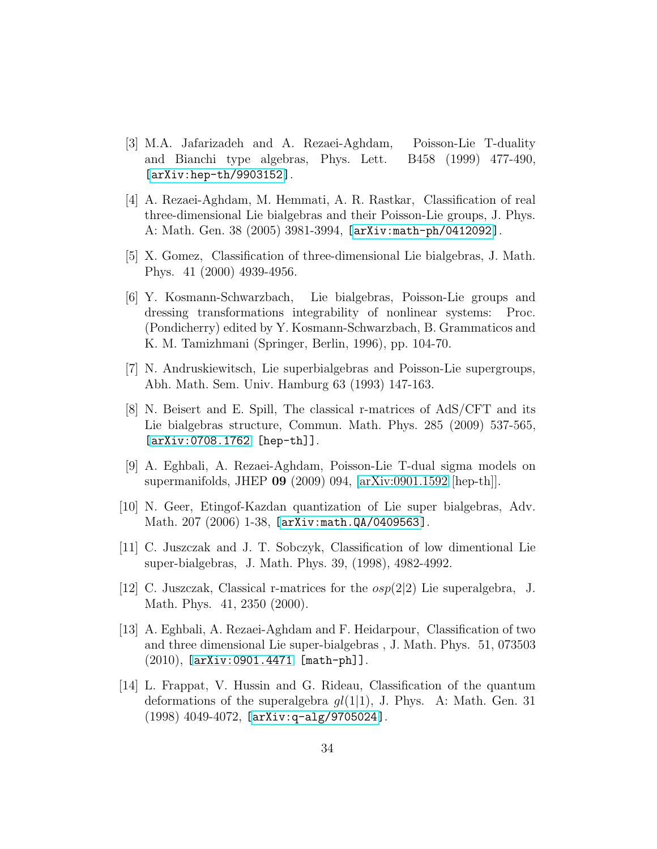- <span id="page-33-0"></span>[3] M.A. Jafarizadeh and A. Rezaei-Aghdam, Poisson-Lie T-duality and Bianchi type algebras, Phys. Lett. B458 (1999) 477-490, [\[arXiv:hep-th/9903152\]](http://arxiv.org/abs/hep-th/9903152).
- <span id="page-33-1"></span>[4] A. Rezaei-Aghdam, M. Hemmati, A. R. Rastkar, Classification of real three-dimensional Lie bialgebras and their Poisson-Lie groups, J. Phys. A: Math. Gen. 38 (2005) 3981-3994, [\[arXiv:math-ph/0412092\]](http://arxiv.org/abs/math-ph/0412092).
- <span id="page-33-2"></span>[5] X. Gomez, Classification of three-dimensional Lie bialgebras, J. Math. Phys. 41 (2000) 4939-4956.
- <span id="page-33-3"></span>[6] Y. Kosmann-Schwarzbach, Lie bialgebras, Poisson-Lie groups and dressing transformations integrability of nonlinear systems: Proc. (Pondicherry) edited by Y. Kosmann-Schwarzbach, B. Grammaticos and K. M. Tamizhmani (Springer, Berlin, 1996), pp. 104-70.
- <span id="page-33-4"></span>[7] N. Andruskiewitsch, Lie superbialgebras and Poisson-Lie supergroups, Abh. Math. Sem. Univ. Hamburg 63 (1993) 147-163.
- <span id="page-33-5"></span>[8] N. Beisert and E. Spill, The classical r-matrices of AdS/CFT and its Lie bialgebras structure, Commun. Math. Phys. 285 (2009) 537-565, [\[arXiv:0708.1762](http://arxiv.org/abs/0708.1762) [hep-th]].
- <span id="page-33-6"></span>[9] A. Eghbali, A. Rezaei-Aghdam, Poisson-Lie T-dual sigma models on supermanifolds, JHEP 09 (2009) 094, [\[arXiv:0901.1592](http://arxiv.org/abs/0901.1592) [hep-th]].
- <span id="page-33-7"></span>[10] N. Geer, Etingof-Kazdan quantization of Lie super bialgebras, Adv. Math. 207 (2006) 1-38, [\[arXiv:math.QA/0409563\]](http://arxiv.org/abs/math/0409563).
- <span id="page-33-8"></span>[11] C. Juszczak and J. T. Sobczyk, Classification of low dimentional Lie super-bialgebras, J. Math. Phys. 39, (1998), 4982-4992.
- <span id="page-33-9"></span>[12] C. Juszczak, Classical r-matrices for the  $osp(2|2)$  Lie superalgebra, J. Math. Phys. 41, 2350 (2000).
- <span id="page-33-10"></span>[13] A. Eghbali, A. Rezaei-Aghdam and F. Heidarpour, Classification of two and three dimensional Lie super-bialgebras , J. Math. Phys. 51, 073503  $(2010)$ ,  $[arXiv:0901.4471$   $[math-ph]$ ].
- <span id="page-33-11"></span>[14] L. Frappat, V. Hussin and G. Rideau, Classification of the quantum deformations of the superalgebra  $gl(1|1)$ , J. Phys. A: Math. Gen. 31 (1998) 4049-4072, [\[arXiv:q-alg/9705024\]](http://arxiv.org/abs/q-alg/9705024).